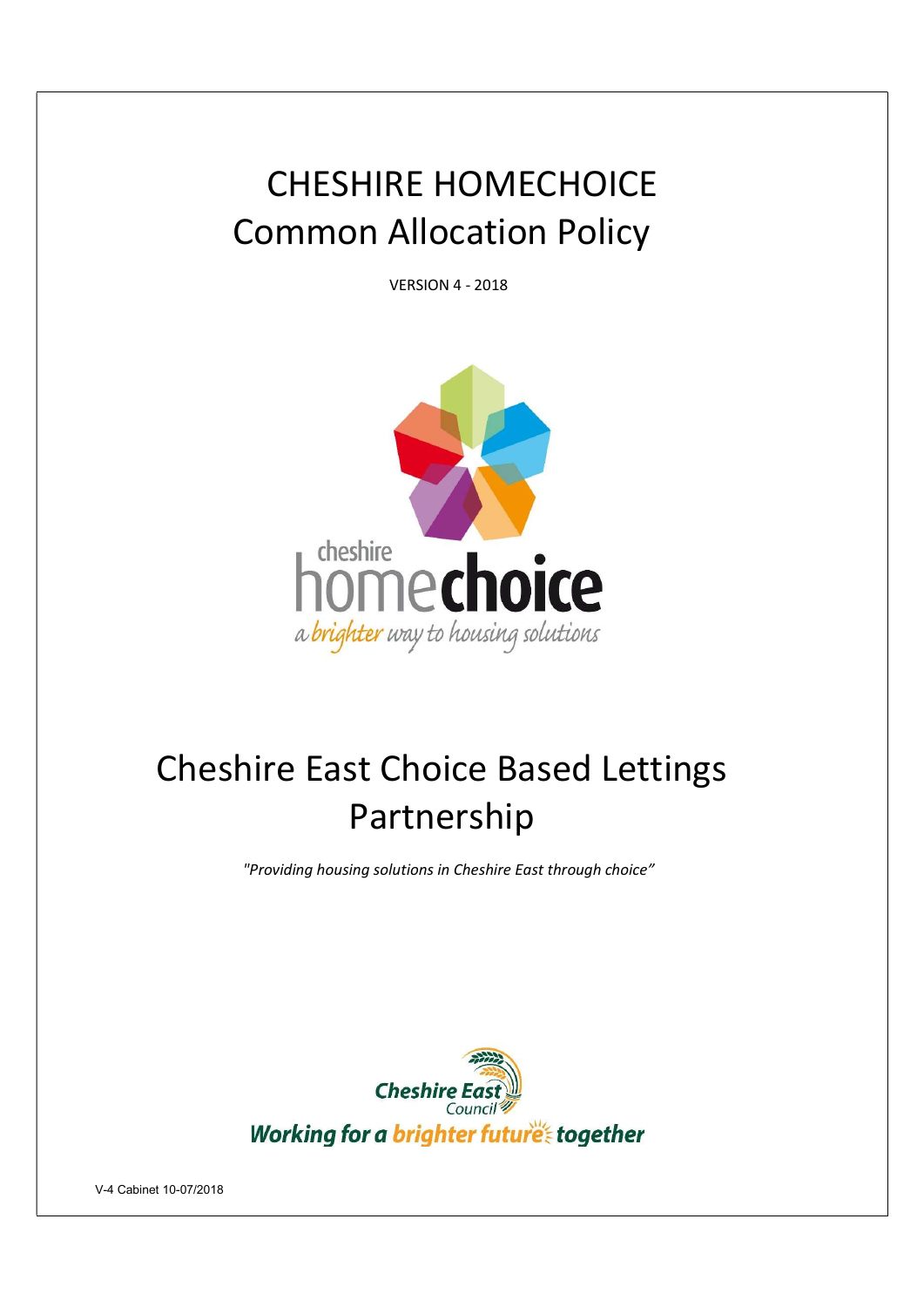# CHESHIRE HOMECHOICE Common Allocation Policy

VERSION 4 - 2018



# Cheshire East Choice Based Lettings Partnership

"Providing housing solutions in Cheshire East through choice"

![](_page_0_Picture_5.jpeg)

V-4 Cabinet 10-07/2018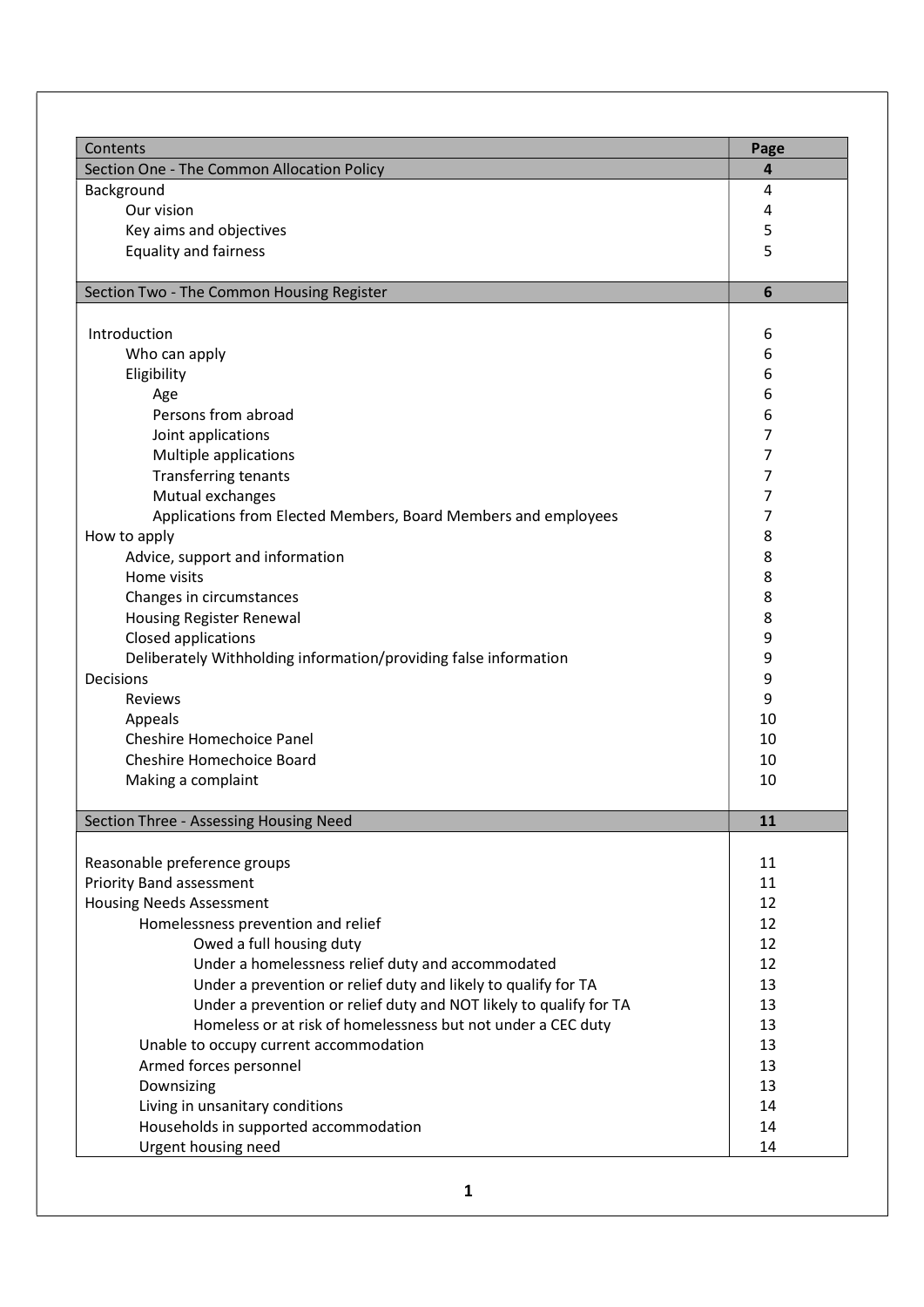| Contents                                                           | Page            |
|--------------------------------------------------------------------|-----------------|
| Section One - The Common Allocation Policy                         | 4               |
| Background                                                         | 4               |
| Our vision                                                         | 4               |
| Key aims and objectives                                            | 5               |
| <b>Equality and fairness</b>                                       | 5               |
|                                                                    |                 |
| Section Two - The Common Housing Register                          | $6\phantom{1}6$ |
|                                                                    |                 |
| Introduction                                                       | 6               |
| Who can apply                                                      | 6               |
| Eligibility                                                        | 6               |
| Age                                                                | 6               |
| Persons from abroad                                                | 6               |
| Joint applications                                                 | 7               |
| Multiple applications                                              | 7               |
| <b>Transferring tenants</b>                                        | 7               |
| Mutual exchanges                                                   | 7               |
| Applications from Elected Members, Board Members and employees     | 7               |
| How to apply                                                       | 8               |
| Advice, support and information                                    | 8               |
| Home visits                                                        | 8               |
| Changes in circumstances                                           | 8               |
| Housing Register Renewal                                           | 8               |
| Closed applications                                                | 9               |
| Deliberately Withholding information/providing false information   | 9               |
| Decisions                                                          | 9               |
| Reviews                                                            | 9               |
| Appeals                                                            | 10              |
| Cheshire Homechoice Panel                                          | 10              |
| Cheshire Homechoice Board                                          | 10              |
| Making a complaint                                                 | 10              |
|                                                                    |                 |
| Section Three - Assessing Housing Need                             | 11              |
| Reasonable preference groups                                       | 11              |
| <b>Priority Band assessment</b>                                    | 11              |
| <b>Housing Needs Assessment</b>                                    | 12              |
| Homelessness prevention and relief                                 | 12              |
| Owed a full housing duty                                           | 12              |
| Under a homelessness relief duty and accommodated                  | 12              |
| Under a prevention or relief duty and likely to qualify for TA     | 13              |
| Under a prevention or relief duty and NOT likely to qualify for TA | 13              |
| Homeless or at risk of homelessness but not under a CEC duty       | 13              |
| Unable to occupy current accommodation                             | 13              |
| Armed forces personnel                                             | 13              |
|                                                                    |                 |
| Downsizing                                                         | 13              |
| Living in unsanitary conditions                                    | 14              |
| Households in supported accommodation                              | 14              |
| Urgent housing need                                                | 14              |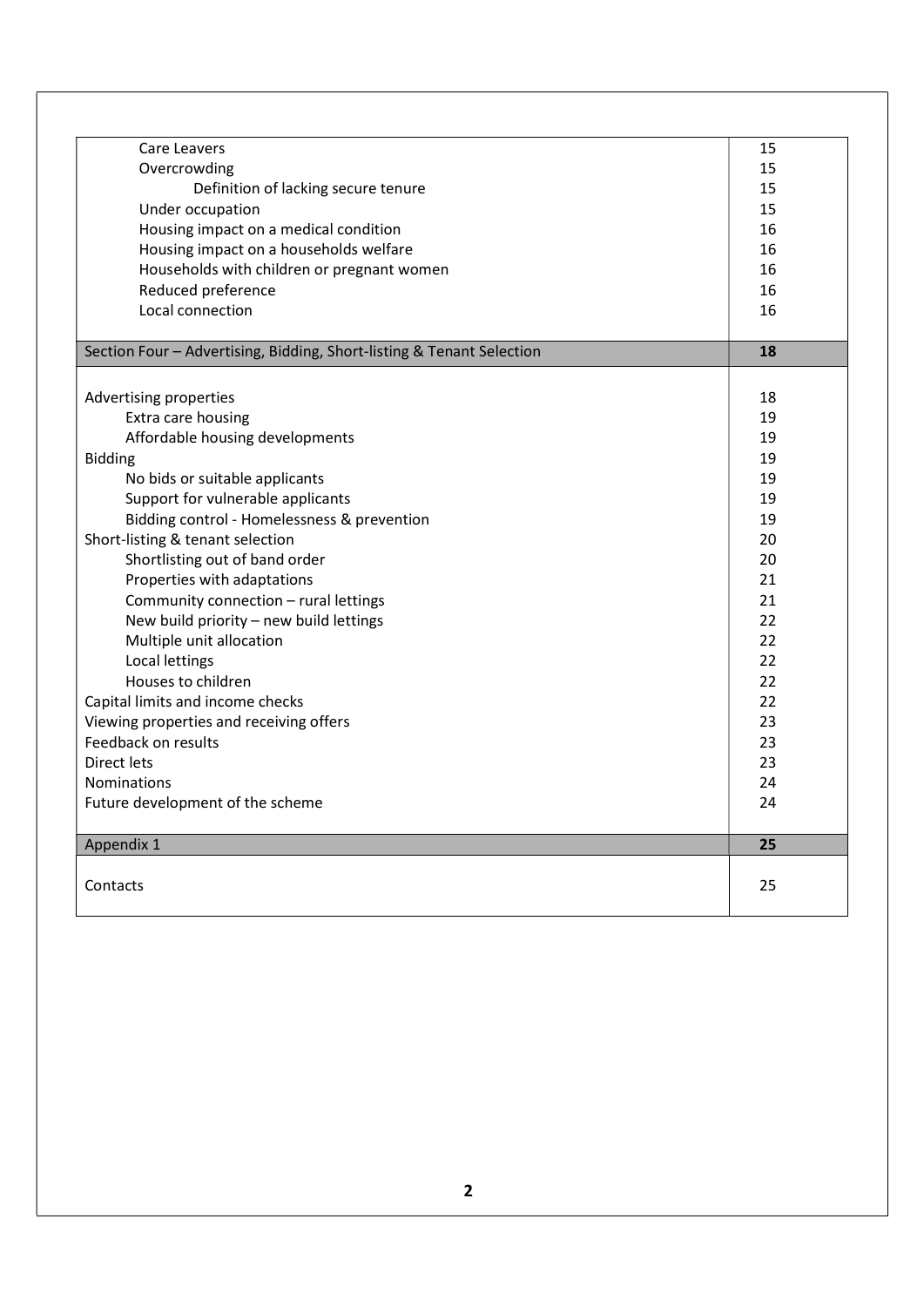| Appendix 1                                                            | 25 |
|-----------------------------------------------------------------------|----|
| Future development of the scheme                                      | 24 |
| Nominations                                                           | 24 |
| Direct lets                                                           | 23 |
| Feedback on results                                                   | 23 |
| Viewing properties and receiving offers                               | 23 |
| Capital limits and income checks                                      | 22 |
| Houses to children                                                    | 22 |
| Local lettings                                                        | 22 |
| Multiple unit allocation                                              | 22 |
| New build priority - new build lettings                               | 22 |
| Community connection - rural lettings                                 | 21 |
| Properties with adaptations                                           | 21 |
| Shortlisting out of band order                                        | 20 |
| Short-listing & tenant selection                                      | 20 |
| Bidding control - Homelessness & prevention                           | 19 |
| Support for vulnerable applicants                                     | 19 |
| No bids or suitable applicants                                        | 19 |
| <b>Bidding</b>                                                        | 19 |
| Affordable housing developments                                       | 19 |
| Extra care housing                                                    | 19 |
| Advertising properties                                                | 18 |
|                                                                       |    |
| Section Four - Advertising, Bidding, Short-listing & Tenant Selection | 18 |
| Local connection                                                      | 16 |
| Reduced preference                                                    | 16 |
| Households with children or pregnant women                            | 16 |
| Housing impact on a households welfare                                | 16 |
| Housing impact on a medical condition                                 | 16 |
| Under occupation                                                      | 15 |
| Definition of lacking secure tenure                                   | 15 |
| Overcrowding                                                          | 15 |
| Care Leavers                                                          | 15 |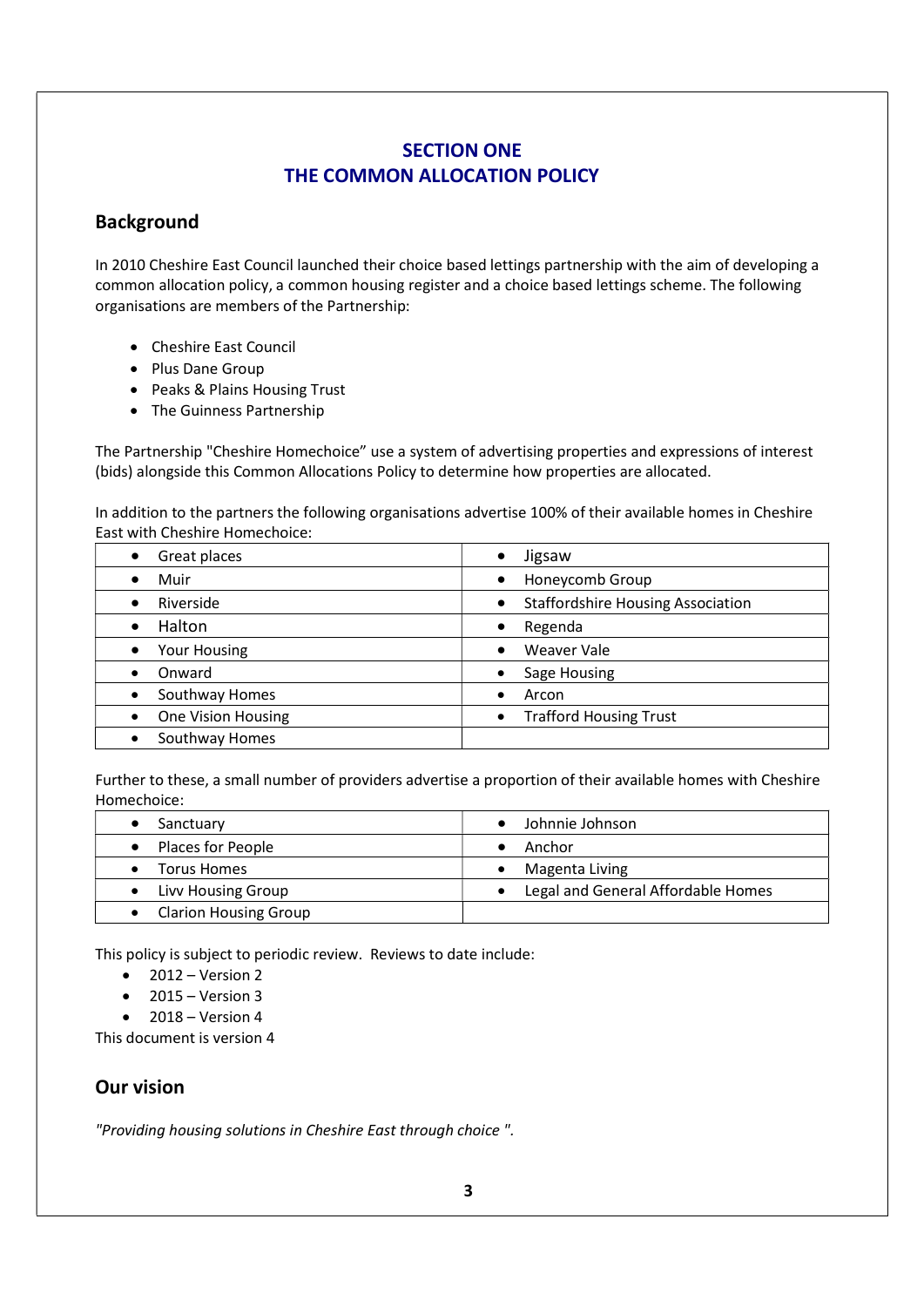# SECTION ONE THE COMMON ALLOCATION POLICY

## Background

In 2010 Cheshire East Council launched their choice based lettings partnership with the aim of developing a common allocation policy, a common housing register and a choice based lettings scheme. The following organisations are members of the Partnership:

- Cheshire East Council
- Plus Dane Group
- Peaks & Plains Housing Trust
- The Guinness Partnership

The Partnership "Cheshire Homechoice" use a system of advertising properties and expressions of interest (bids) alongside this Common Allocations Policy to determine how properties are allocated.

In addition to the partners the following organisations advertise 100% of their available homes in Cheshire East with Cheshire Homechoice:

| Great places                     | Jigsaw<br>٠                                           |
|----------------------------------|-------------------------------------------------------|
| Muir                             | Honeycomb Group                                       |
| Riverside                        | <b>Staffordshire Housing Association</b><br>$\bullet$ |
| Halton                           | Regenda<br>٠                                          |
| <b>Your Housing</b><br>$\bullet$ | Weaver Vale<br>$\bullet$                              |
| Onward<br>$\bullet$              | Sage Housing                                          |
| Southway Homes                   | Arcon                                                 |
| One Vision Housing<br>$\bullet$  | <b>Trafford Housing Trust</b>                         |
| Southway Homes                   |                                                       |

Further to these, a small number of providers advertise a proportion of their available homes with Cheshire Homechoice:

| Sanctuary                    | Johnnie Johnson                    |
|------------------------------|------------------------------------|
| Places for People            | Anchor                             |
| Torus Homes                  | Magenta Living                     |
| Livy Housing Group           | Legal and General Affordable Homes |
| <b>Clarion Housing Group</b> |                                    |

This policy is subject to periodic review. Reviews to date include:

- $\bullet$  2012 Version 2
- $\bullet$  2015 Version 3
- $\bullet$  2018 Version 4

This document is version 4

# Our vision

"Providing housing solutions in Cheshire East through choice ".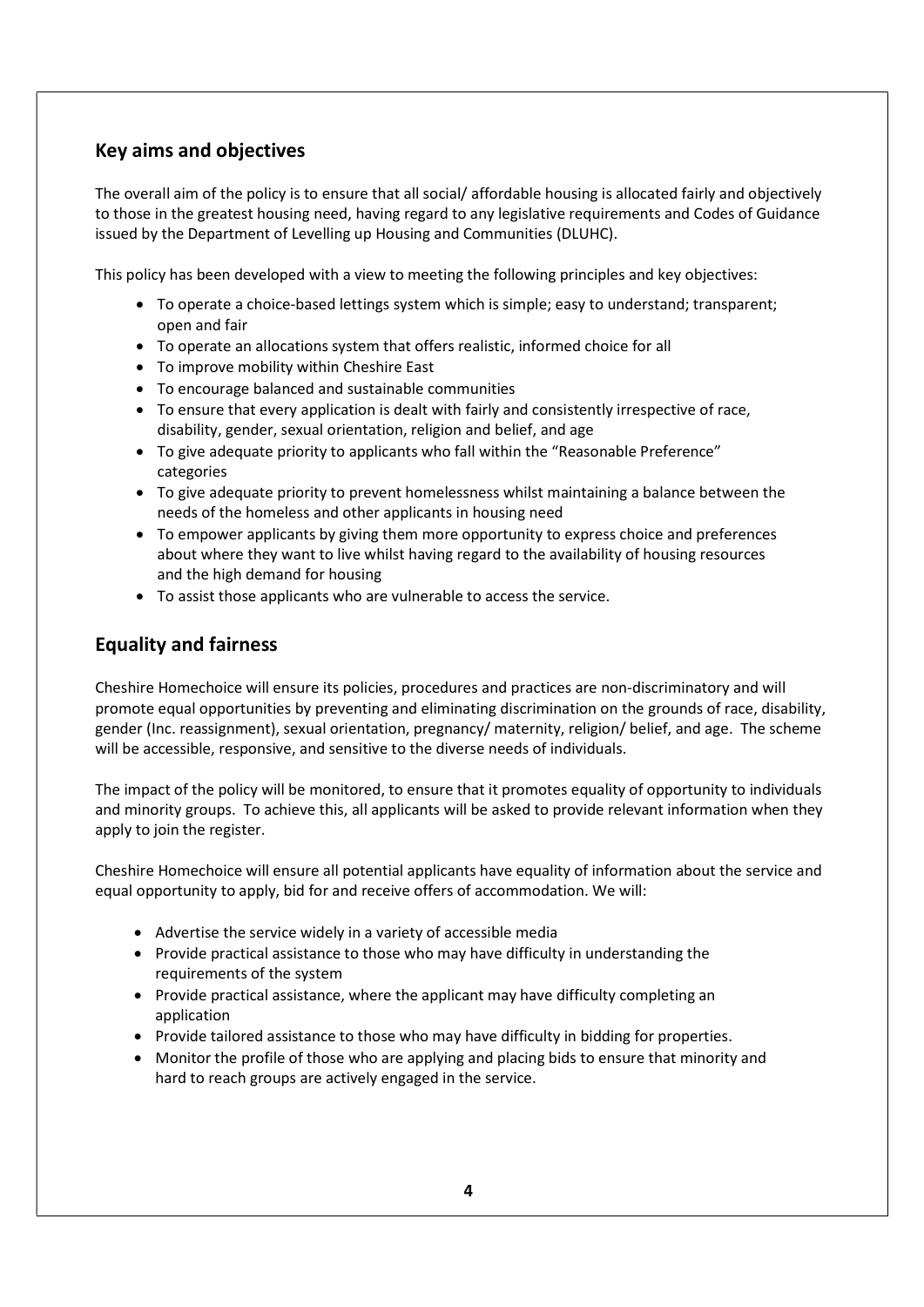# Key aims and objectives

The overall aim of the policy is to ensure that all social/ affordable housing is allocated fairly and objectively to those in the greatest housing need, having regard to any legislative requirements and Codes of Guidance issued by the Department of Levelling up Housing and Communities (DLUHC).

This policy has been developed with a view to meeting the following principles and key objectives:

- To operate a choice-based lettings system which is simple; easy to understand; transparent; open and fair
- To operate an allocations system that offers realistic, informed choice for all
- To improve mobility within Cheshire East
- To encourage balanced and sustainable communities
- To ensure that every application is dealt with fairly and consistently irrespective of race, disability, gender, sexual orientation, religion and belief, and age
- To give adequate priority to applicants who fall within the "Reasonable Preference" categories
- To give adequate priority to prevent homelessness whilst maintaining a balance between the needs of the homeless and other applicants in housing need
- To empower applicants by giving them more opportunity to express choice and preferences about where they want to live whilst having regard to the availability of housing resources and the high demand for housing
- To assist those applicants who are vulnerable to access the service.

# Equality and fairness

Cheshire Homechoice will ensure its policies, procedures and practices are non-discriminatory and will promote equal opportunities by preventing and eliminating discrimination on the grounds of race, disability, gender (Inc. reassignment), sexual orientation, pregnancy/ maternity, religion/ belief, and age. The scheme will be accessible, responsive, and sensitive to the diverse needs of individuals.

The impact of the policy will be monitored, to ensure that it promotes equality of opportunity to individuals and minority groups. To achieve this, all applicants will be asked to provide relevant information when they apply to join the register.

Cheshire Homechoice will ensure all potential applicants have equality of information about the service and equal opportunity to apply, bid for and receive offers of accommodation. We will:

- Advertise the service widely in a variety of accessible media
- Provide practical assistance to those who may have difficulty in understanding the requirements of the system
- Provide practical assistance, where the applicant may have difficulty completing an application
- Provide tailored assistance to those who may have difficulty in bidding for properties.
- Monitor the profile of those who are applying and placing bids to ensure that minority and hard to reach groups are actively engaged in the service.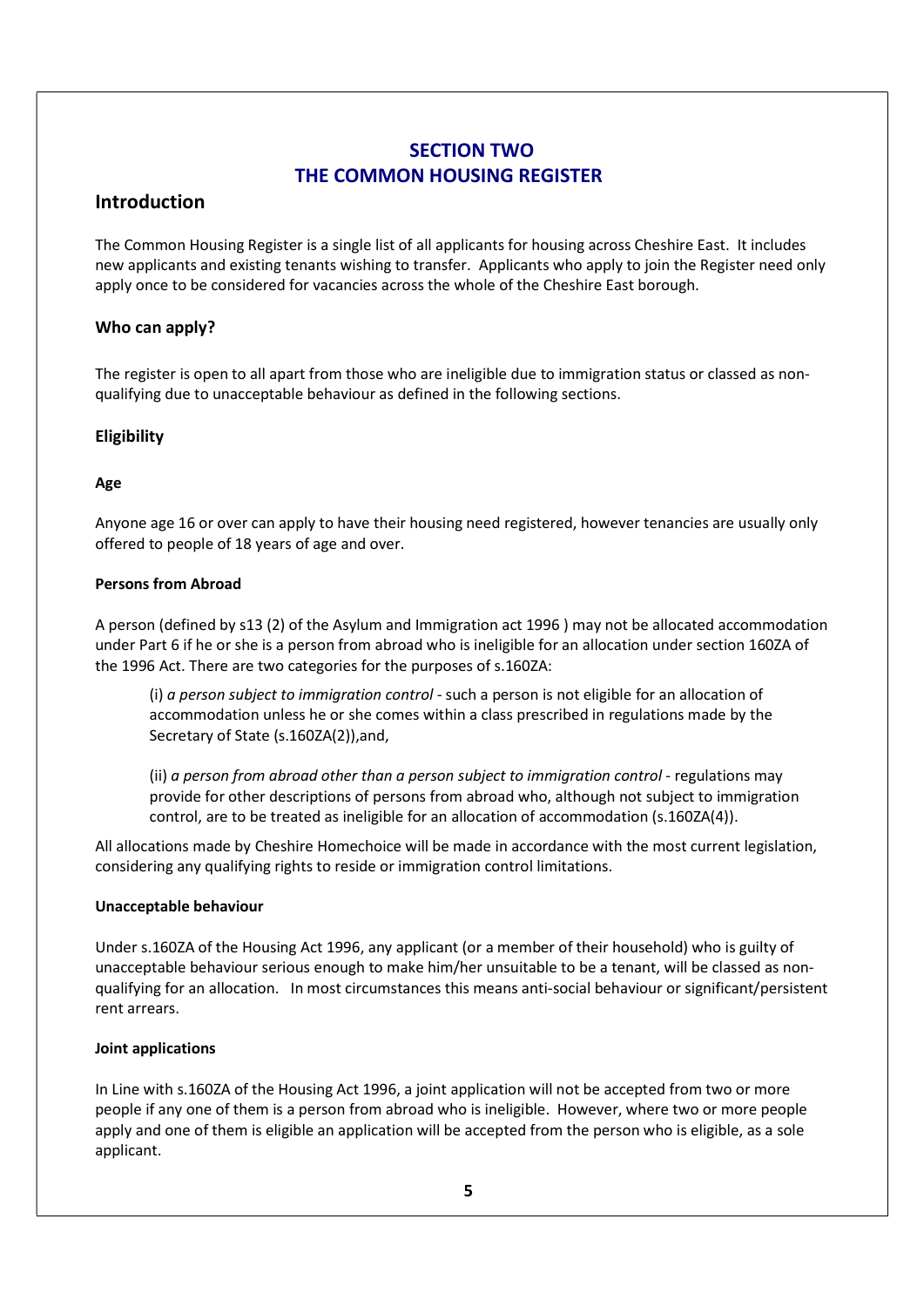# SECTION TWO THE COMMON HOUSING REGISTER

## Introduction

The Common Housing Register is a single list of all applicants for housing across Cheshire East. It includes new applicants and existing tenants wishing to transfer. Applicants who apply to join the Register need only apply once to be considered for vacancies across the whole of the Cheshire East borough.

## Who can apply?

The register is open to all apart from those who are ineligible due to immigration status or classed as nonqualifying due to unacceptable behaviour as defined in the following sections.

## Eligibility

## Age

Anyone age 16 or over can apply to have their housing need registered, however tenancies are usually only offered to people of 18 years of age and over.

### Persons from Abroad

A person (defined by s13 (2) of the Asylum and Immigration act 1996 ) may not be allocated accommodation under Part 6 if he or she is a person from abroad who is ineligible for an allocation under section 160ZA of the 1996 Act. There are two categories for the purposes of s.160ZA:

(i) a person subject to immigration control - such a person is not eligible for an allocation of accommodation unless he or she comes within a class prescribed in regulations made by the Secretary of State (s.160ZA(2)),and,

(ii) a person from abroad other than a person subject to immigration control - regulations may provide for other descriptions of persons from abroad who, although not subject to immigration control, are to be treated as ineligible for an allocation of accommodation (s.160ZA(4)).

All allocations made by Cheshire Homechoice will be made in accordance with the most current legislation, considering any qualifying rights to reside or immigration control limitations.

### Unacceptable behaviour

Under s.160ZA of the Housing Act 1996, any applicant (or a member of their household) who is guilty of unacceptable behaviour serious enough to make him/her unsuitable to be a tenant, will be classed as nonqualifying for an allocation. In most circumstances this means anti-social behaviour or significant/persistent rent arrears.

### Joint applications

In Line with s.160ZA of the Housing Act 1996, a joint application will not be accepted from two or more people if any one of them is a person from abroad who is ineligible. However, where two or more people apply and one of them is eligible an application will be accepted from the person who is eligible, as a sole applicant.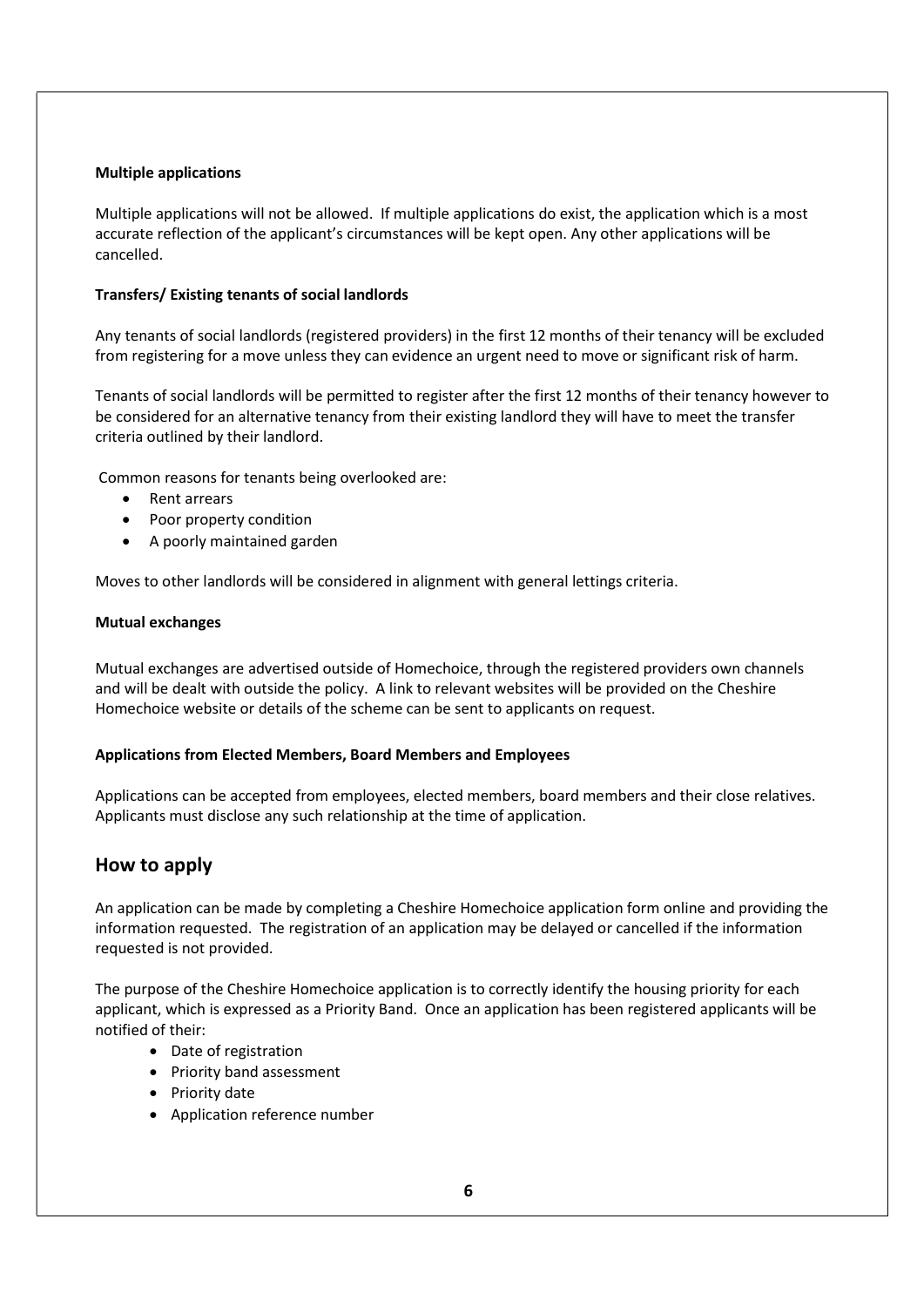#### Multiple applications

Multiple applications will not be allowed. If multiple applications do exist, the application which is a most accurate reflection of the applicant's circumstances will be kept open. Any other applications will be cancelled.

#### Transfers/ Existing tenants of social landlords

Any tenants of social landlords (registered providers) in the first 12 months of their tenancy will be excluded from registering for a move unless they can evidence an urgent need to move or significant risk of harm.

Tenants of social landlords will be permitted to register after the first 12 months of their tenancy however to be considered for an alternative tenancy from their existing landlord they will have to meet the transfer criteria outlined by their landlord.

Common reasons for tenants being overlooked are:

- Rent arrears
- Poor property condition
- A poorly maintained garden

Moves to other landlords will be considered in alignment with general lettings criteria.

#### Mutual exchanges

Mutual exchanges are advertised outside of Homechoice, through the registered providers own channels and will be dealt with outside the policy. A link to relevant websites will be provided on the Cheshire Homechoice website or details of the scheme can be sent to applicants on request.

#### Applications from Elected Members, Board Members and Employees

Applications can be accepted from employees, elected members, board members and their close relatives. Applicants must disclose any such relationship at the time of application.

### How to apply

An application can be made by completing a Cheshire Homechoice application form online and providing the information requested. The registration of an application may be delayed or cancelled if the information requested is not provided.

The purpose of the Cheshire Homechoice application is to correctly identify the housing priority for each applicant, which is expressed as a Priority Band. Once an application has been registered applicants will be notified of their:

- Date of registration
- Priority band assessment
- Priority date
- Application reference number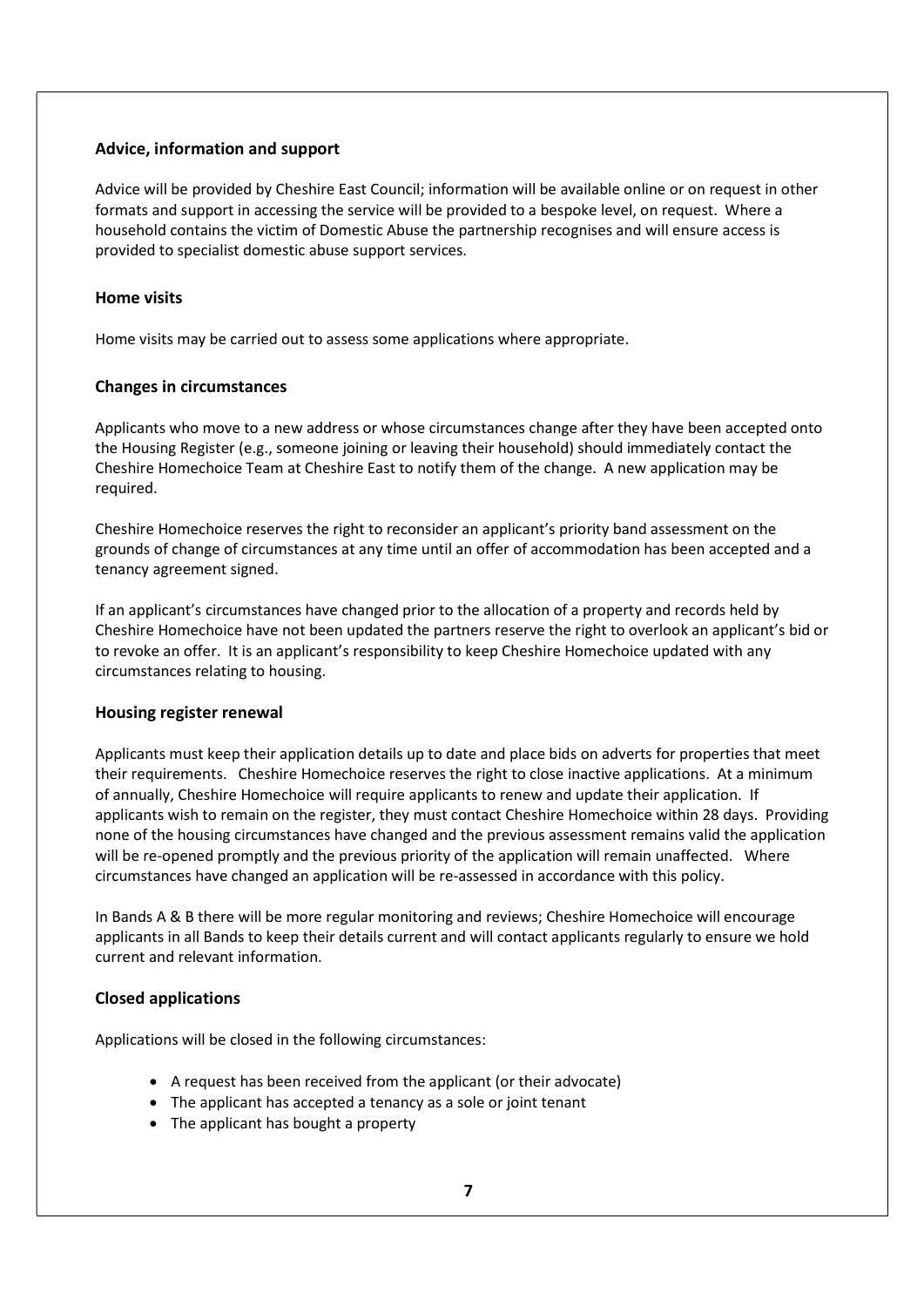#### Advice, information and support

Advice will be provided by Cheshire East Council; information will be available online or on request in other formats and support in accessing the service will be provided to a bespoke level, on request. Where a household contains the victim of Domestic Abuse the partnership recognises and will ensure access is provided to specialist domestic abuse support services.

### Home visits

Home visits may be carried out to assess some applications where appropriate.

#### Changes in circumstances

Applicants who move to a new address or whose circumstances change after they have been accepted onto the Housing Register (e.g., someone joining or leaving their household) should immediately contact the Cheshire Homechoice Team at Cheshire East to notify them of the change. A new application may be required.

Cheshire Homechoice reserves the right to reconsider an applicant's priority band assessment on the grounds of change of circumstances at any time until an offer of accommodation has been accepted and a tenancy agreement signed.

If an applicant's circumstances have changed prior to the allocation of a property and records held by Cheshire Homechoice have not been updated the partners reserve the right to overlook an applicant's bid or to revoke an offer. It is an applicant's responsibility to keep Cheshire Homechoice updated with any circumstances relating to housing.

### Housing register renewal

Applicants must keep their application details up to date and place bids on adverts for properties that meet their requirements. Cheshire Homechoice reserves the right to close inactive applications. At a minimum of annually, Cheshire Homechoice will require applicants to renew and update their application. If applicants wish to remain on the register, they must contact Cheshire Homechoice within 28 days. Providing none of the housing circumstances have changed and the previous assessment remains valid the application will be re-opened promptly and the previous priority of the application will remain unaffected. Where circumstances have changed an application will be re-assessed in accordance with this policy.

In Bands A & B there will be more regular monitoring and reviews; Cheshire Homechoice will encourage applicants in all Bands to keep their details current and will contact applicants regularly to ensure we hold current and relevant information.

### Closed applications

Applications will be closed in the following circumstances:

- A request has been received from the applicant (or their advocate)
- The applicant has accepted a tenancy as a sole or joint tenant
- The applicant has bought a property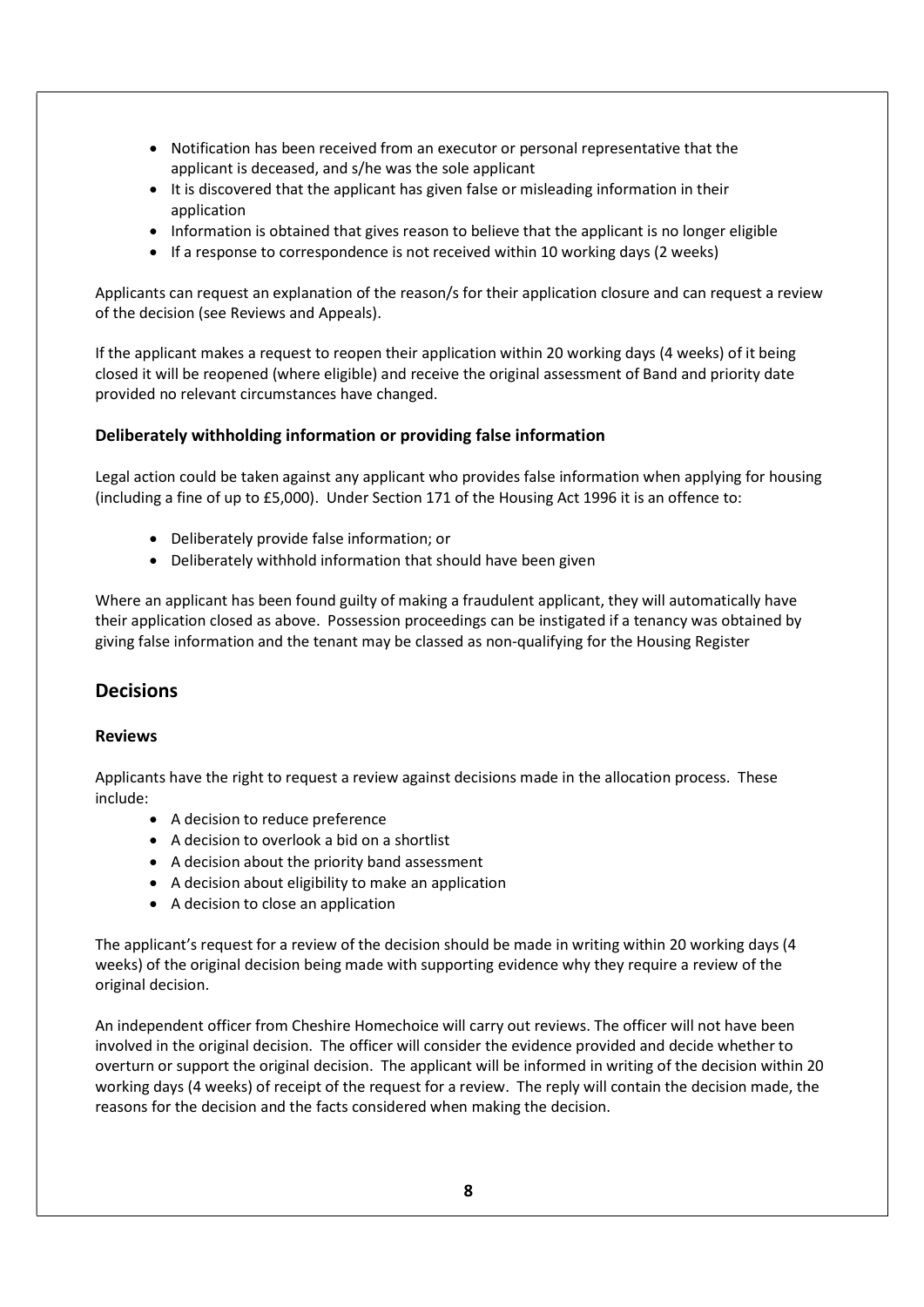- Notification has been received from an executor or personal representative that the applicant is deceased, and s/he was the sole applicant
- It is discovered that the applicant has given false or misleading information in their application
- Information is obtained that gives reason to believe that the applicant is no longer eligible
- If a response to correspondence is not received within 10 working days (2 weeks)

Applicants can request an explanation of the reason/s for their application closure and can request a review of the decision (see Reviews and Appeals).

If the applicant makes a request to reopen their application within 20 working days (4 weeks) of it being closed it will be reopened (where eligible) and receive the original assessment of Band and priority date provided no relevant circumstances have changed.

#### Deliberately withholding information or providing false information

Legal action could be taken against any applicant who provides false information when applying for housing (including a fine of up to £5,000). Under Section 171 of the Housing Act 1996 it is an offence to:

- Deliberately provide false information; or
- Deliberately withhold information that should have been given

Where an applicant has been found guilty of making a fraudulent applicant, they will automatically have their application closed as above. Possession proceedings can be instigated if a tenancy was obtained by giving false information and the tenant may be classed as non-qualifying for the Housing Register

## **Decisions**

#### Reviews

Applicants have the right to request a review against decisions made in the allocation process. These include:

- A decision to reduce preference
- A decision to overlook a bid on a shortlist
- A decision about the priority band assessment
- A decision about eligibility to make an application
- A decision to close an application

The applicant's request for a review of the decision should be made in writing within 20 working days (4 weeks) of the original decision being made with supporting evidence why they require a review of the original decision.

An independent officer from Cheshire Homechoice will carry out reviews. The officer will not have been involved in the original decision. The officer will consider the evidence provided and decide whether to overturn or support the original decision. The applicant will be informed in writing of the decision within 20 working days (4 weeks) of receipt of the request for a review. The reply will contain the decision made, the reasons for the decision and the facts considered when making the decision.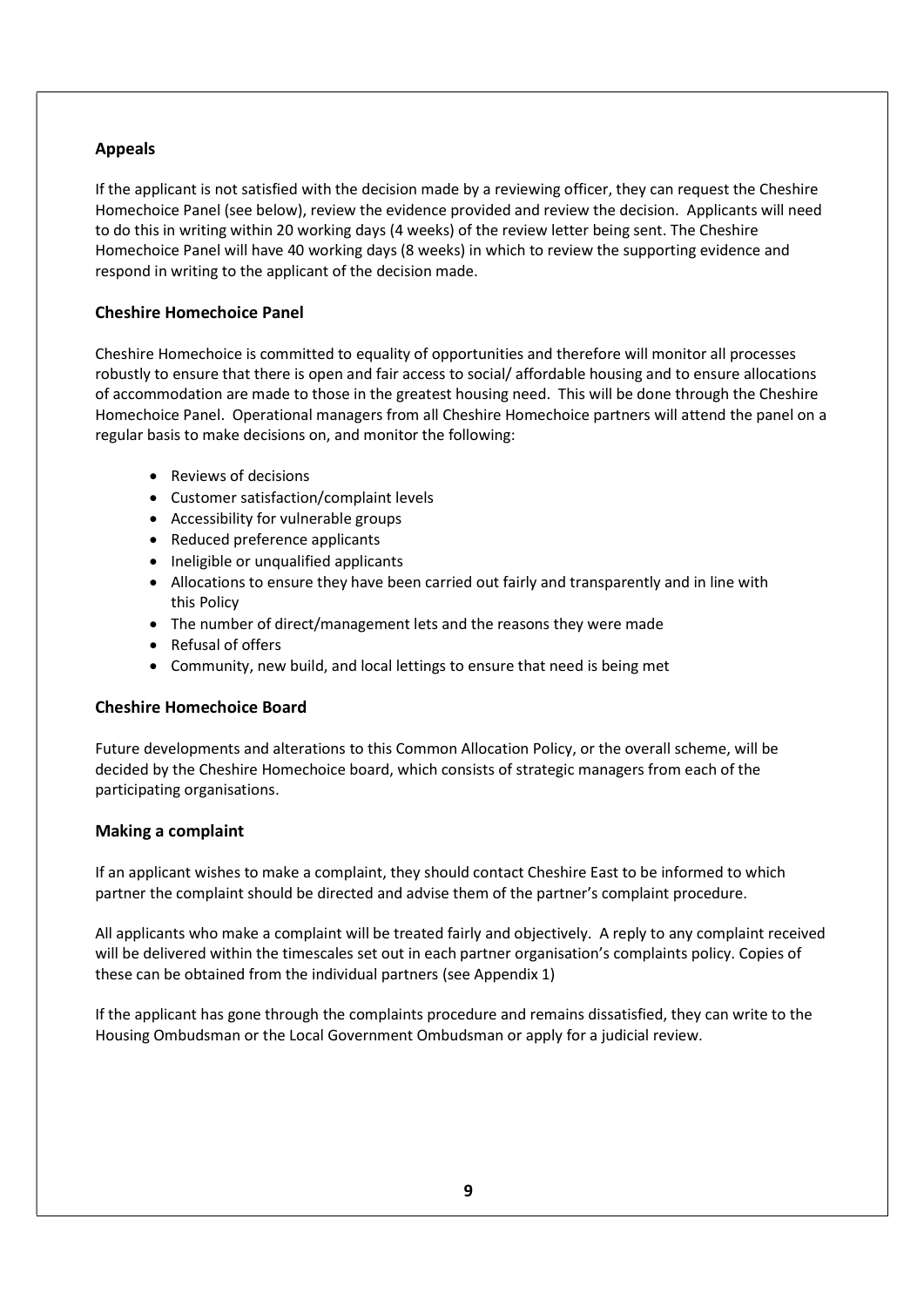#### Appeals

If the applicant is not satisfied with the decision made by a reviewing officer, they can request the Cheshire Homechoice Panel (see below), review the evidence provided and review the decision. Applicants will need to do this in writing within 20 working days (4 weeks) of the review letter being sent. The Cheshire Homechoice Panel will have 40 working days (8 weeks) in which to review the supporting evidence and respond in writing to the applicant of the decision made.

#### Cheshire Homechoice Panel

Cheshire Homechoice is committed to equality of opportunities and therefore will monitor all processes robustly to ensure that there is open and fair access to social/ affordable housing and to ensure allocations of accommodation are made to those in the greatest housing need. This will be done through the Cheshire Homechoice Panel. Operational managers from all Cheshire Homechoice partners will attend the panel on a regular basis to make decisions on, and monitor the following:

- Reviews of decisions
- Customer satisfaction/complaint levels
- Accessibility for vulnerable groups
- Reduced preference applicants
- Ineligible or unqualified applicants
- Allocations to ensure they have been carried out fairly and transparently and in line with this Policy
- The number of direct/management lets and the reasons they were made
- Refusal of offers
- Community, new build, and local lettings to ensure that need is being met

#### Cheshire Homechoice Board

Future developments and alterations to this Common Allocation Policy, or the overall scheme, will be decided by the Cheshire Homechoice board, which consists of strategic managers from each of the participating organisations.

#### Making a complaint

If an applicant wishes to make a complaint, they should contact Cheshire East to be informed to which partner the complaint should be directed and advise them of the partner's complaint procedure.

All applicants who make a complaint will be treated fairly and objectively. A reply to any complaint received will be delivered within the timescales set out in each partner organisation's complaints policy. Copies of these can be obtained from the individual partners (see Appendix 1)

If the applicant has gone through the complaints procedure and remains dissatisfied, they can write to the Housing Ombudsman or the Local Government Ombudsman or apply for a judicial review.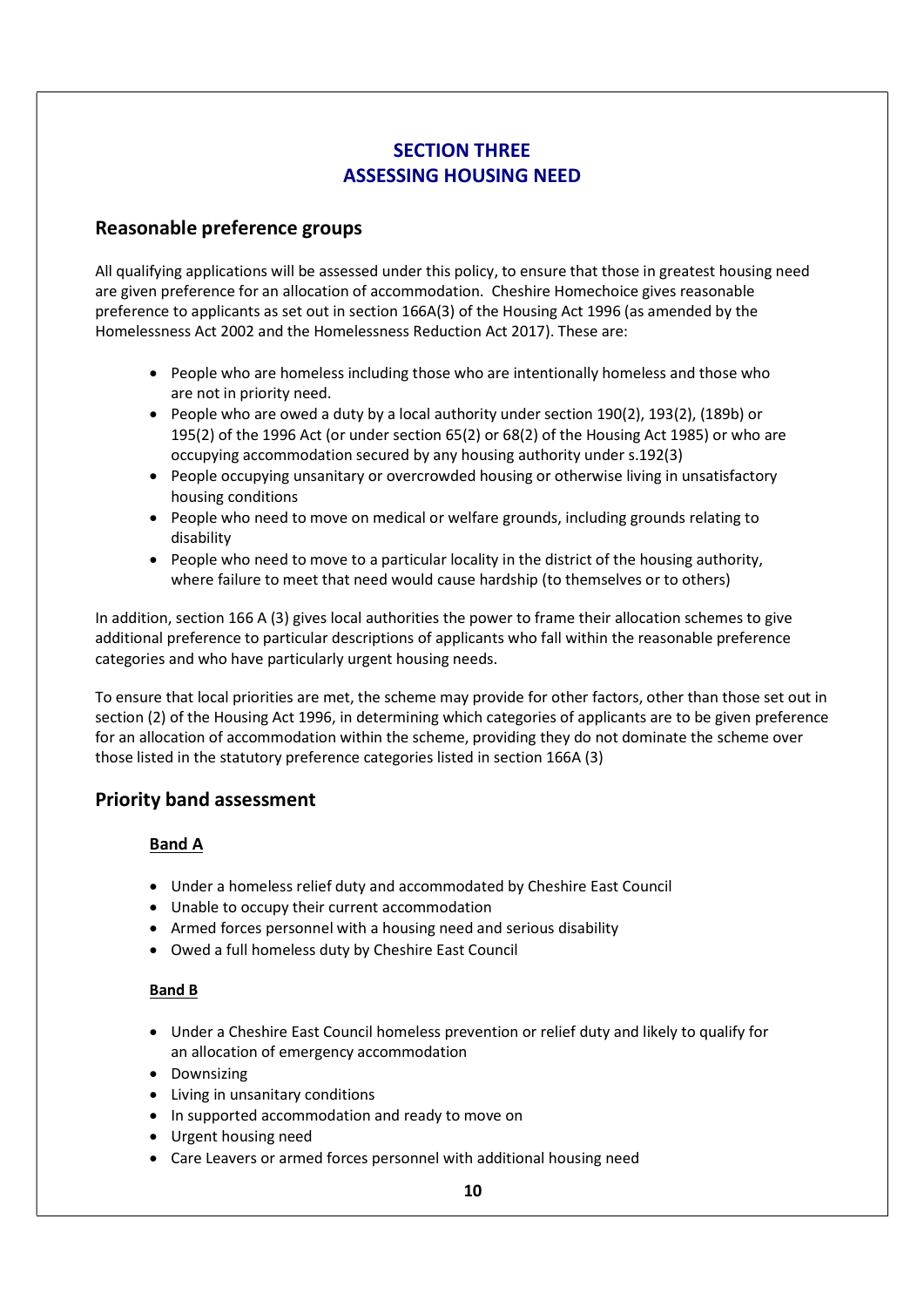# SECTION THREE ASSESSING HOUSING NEED

## Reasonable preference groups

All qualifying applications will be assessed under this policy, to ensure that those in greatest housing need are given preference for an allocation of accommodation. Cheshire Homechoice gives reasonable preference to applicants as set out in section 166A(3) of the Housing Act 1996 (as amended by the Homelessness Act 2002 and the Homelessness Reduction Act 2017). These are:

- People who are homeless including those who are intentionally homeless and those who are not in priority need.
- People who are owed a duty by a local authority under section 190(2), 193(2), (189b) or 195(2) of the 1996 Act (or under section 65(2) or 68(2) of the Housing Act 1985) or who are occupying accommodation secured by any housing authority under s.192(3)
- People occupying unsanitary or overcrowded housing or otherwise living in unsatisfactory housing conditions
- People who need to move on medical or welfare grounds, including grounds relating to disability
- People who need to move to a particular locality in the district of the housing authority, where failure to meet that need would cause hardship (to themselves or to others)

In addition, section 166 A (3) gives local authorities the power to frame their allocation schemes to give additional preference to particular descriptions of applicants who fall within the reasonable preference categories and who have particularly urgent housing needs.

To ensure that local priorities are met, the scheme may provide for other factors, other than those set out in section (2) of the Housing Act 1996, in determining which categories of applicants are to be given preference for an allocation of accommodation within the scheme, providing they do not dominate the scheme over those listed in the statutory preference categories listed in section 166A (3)

# Priority band assessment

### Band A

- Under a homeless relief duty and accommodated by Cheshire East Council
- Unable to occupy their current accommodation
- Armed forces personnel with a housing need and serious disability
- Owed a full homeless duty by Cheshire East Council

### Band B

- Under a Cheshire East Council homeless prevention or relief duty and likely to qualify for an allocation of emergency accommodation
- Downsizing
- Living in unsanitary conditions
- In supported accommodation and ready to move on
- Urgent housing need
- Care Leavers or armed forces personnel with additional housing need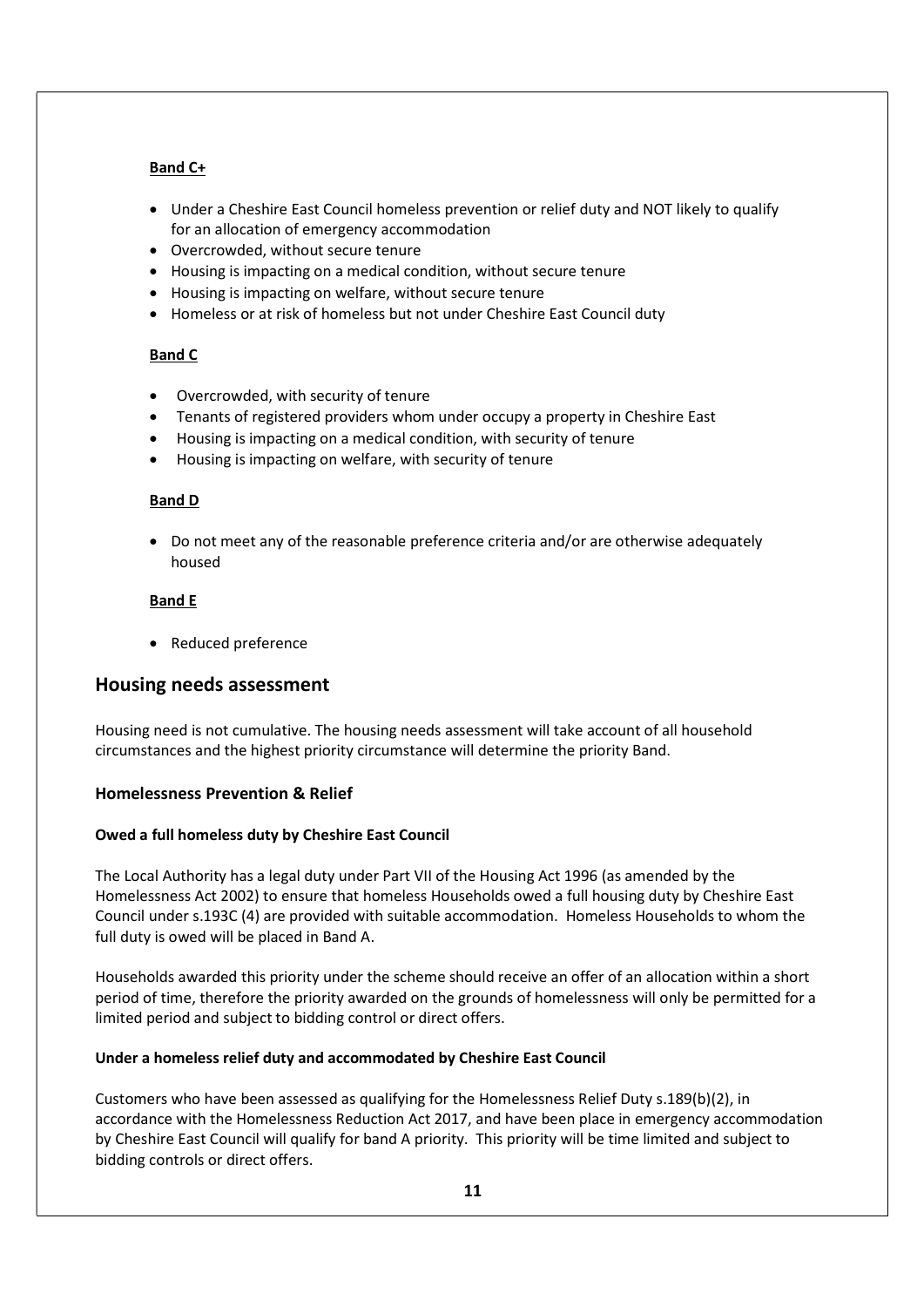#### Band C+

- Under a Cheshire East Council homeless prevention or relief duty and NOT likely to qualify for an allocation of emergency accommodation
- Overcrowded, without secure tenure
- Housing is impacting on a medical condition, without secure tenure
- Housing is impacting on welfare, without secure tenure
- Homeless or at risk of homeless but not under Cheshire East Council duty

#### Band C

- Overcrowded, with security of tenure
- Tenants of registered providers whom under occupy a property in Cheshire East
- Housing is impacting on a medical condition, with security of tenure
- Housing is impacting on welfare, with security of tenure

#### Band D

 Do not meet any of the reasonable preference criteria and/or are otherwise adequately housed

#### Band E

• Reduced preference

## Housing needs assessment

Housing need is not cumulative. The housing needs assessment will take account of all household circumstances and the highest priority circumstance will determine the priority Band.

### Homelessness Prevention & Relief

#### Owed a full homeless duty by Cheshire East Council

The Local Authority has a legal duty under Part VII of the Housing Act 1996 (as amended by the Homelessness Act 2002) to ensure that homeless Households owed a full housing duty by Cheshire East Council under s.193C (4) are provided with suitable accommodation. Homeless Households to whom the full duty is owed will be placed in Band A.

Households awarded this priority under the scheme should receive an offer of an allocation within a short period of time, therefore the priority awarded on the grounds of homelessness will only be permitted for a limited period and subject to bidding control or direct offers.

#### Under a homeless relief duty and accommodated by Cheshire East Council

Customers who have been assessed as qualifying for the Homelessness Relief Duty s.189(b)(2), in accordance with the Homelessness Reduction Act 2017, and have been place in emergency accommodation by Cheshire East Council will qualify for band A priority. This priority will be time limited and subject to bidding controls or direct offers.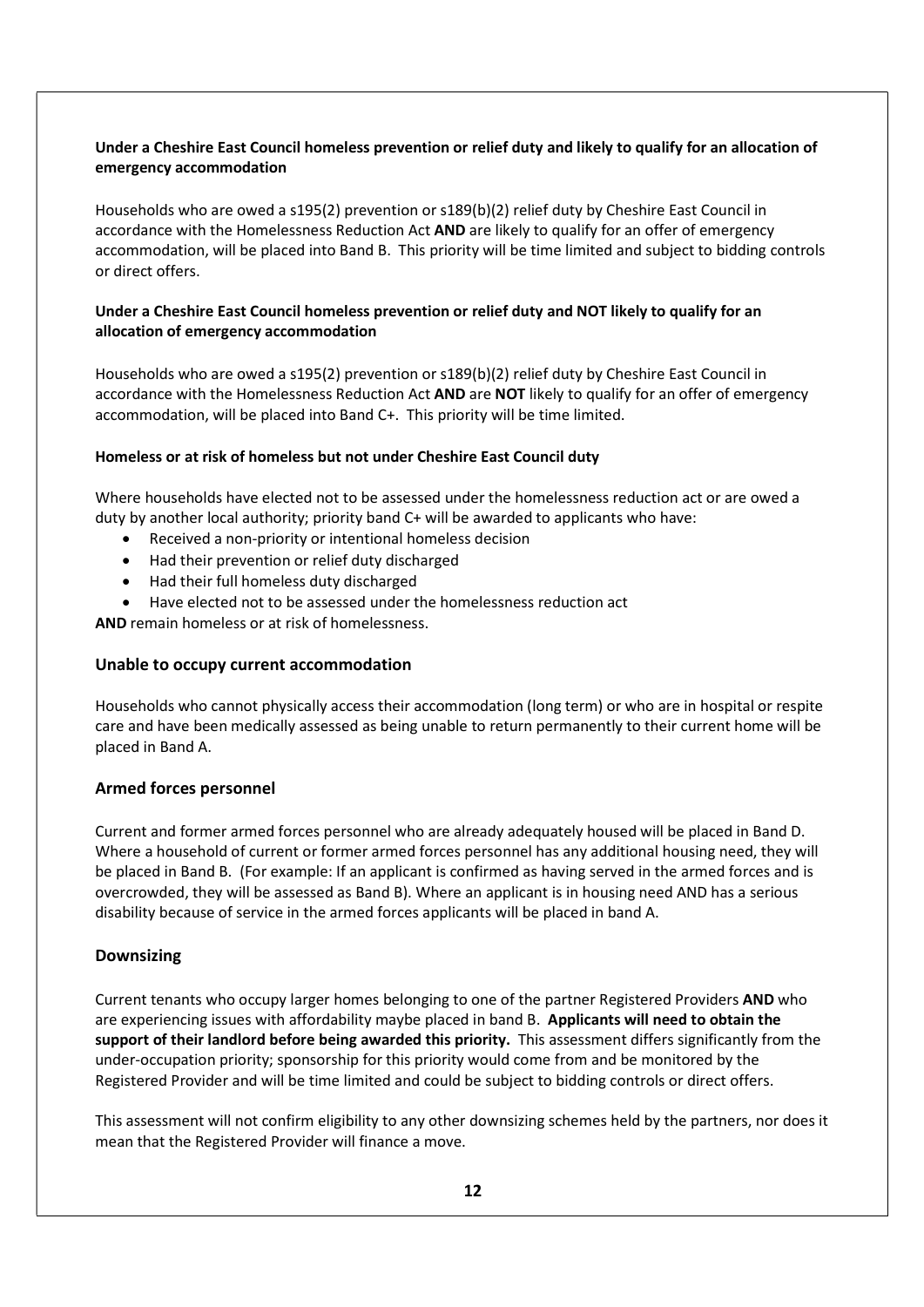#### Under a Cheshire East Council homeless prevention or relief duty and likely to qualify for an allocation of emergency accommodation

Households who are owed a s195(2) prevention or s189(b)(2) relief duty by Cheshire East Council in accordance with the Homelessness Reduction Act AND are likely to qualify for an offer of emergency accommodation, will be placed into Band B. This priority will be time limited and subject to bidding controls or direct offers.

#### Under a Cheshire East Council homeless prevention or relief duty and NOT likely to qualify for an allocation of emergency accommodation

Households who are owed a s195(2) prevention or s189(b)(2) relief duty by Cheshire East Council in accordance with the Homelessness Reduction Act AND are NOT likely to qualify for an offer of emergency accommodation, will be placed into Band C+. This priority will be time limited.

#### Homeless or at risk of homeless but not under Cheshire East Council duty

Where households have elected not to be assessed under the homelessness reduction act or are owed a duty by another local authority; priority band C+ will be awarded to applicants who have:

- Received a non-priority or intentional homeless decision
- Had their prevention or relief duty discharged
- Had their full homeless duty discharged
- Have elected not to be assessed under the homelessness reduction act

AND remain homeless or at risk of homelessness.

#### Unable to occupy current accommodation

Households who cannot physically access their accommodation (long term) or who are in hospital or respite care and have been medically assessed as being unable to return permanently to their current home will be placed in Band A.

#### Armed forces personnel

Current and former armed forces personnel who are already adequately housed will be placed in Band D. Where a household of current or former armed forces personnel has any additional housing need, they will be placed in Band B. (For example: If an applicant is confirmed as having served in the armed forces and is overcrowded, they will be assessed as Band B). Where an applicant is in housing need AND has a serious disability because of service in the armed forces applicants will be placed in band A.

#### Downsizing

Current tenants who occupy larger homes belonging to one of the partner Registered Providers AND who are experiencing issues with affordability maybe placed in band B. Applicants will need to obtain the support of their landlord before being awarded this priority. This assessment differs significantly from the under-occupation priority; sponsorship for this priority would come from and be monitored by the Registered Provider and will be time limited and could be subject to bidding controls or direct offers.

This assessment will not confirm eligibility to any other downsizing schemes held by the partners, nor does it mean that the Registered Provider will finance a move.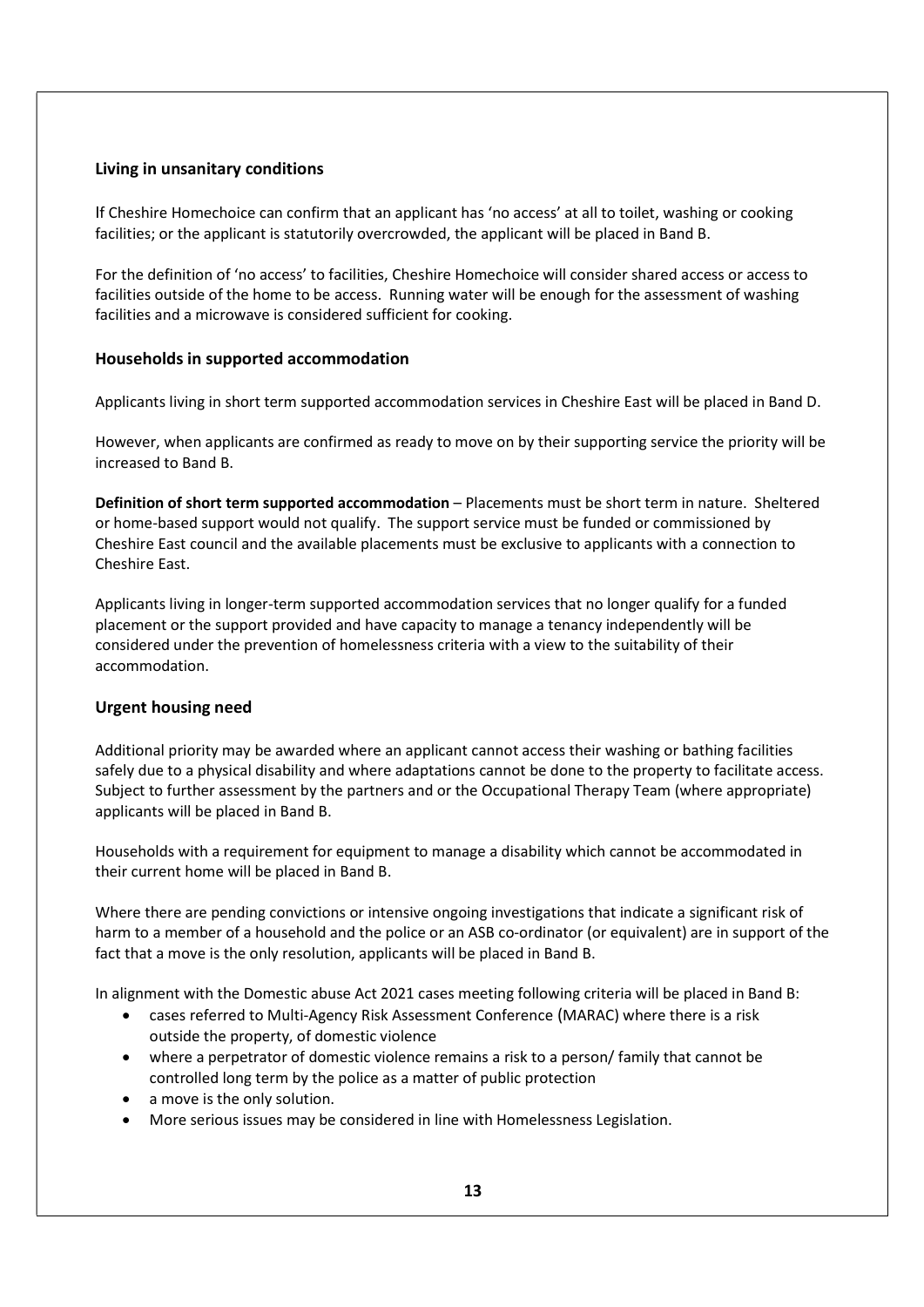#### Living in unsanitary conditions

If Cheshire Homechoice can confirm that an applicant has 'no access' at all to toilet, washing or cooking facilities; or the applicant is statutorily overcrowded, the applicant will be placed in Band B.

For the definition of 'no access' to facilities, Cheshire Homechoice will consider shared access or access to facilities outside of the home to be access. Running water will be enough for the assessment of washing facilities and a microwave is considered sufficient for cooking.

### Households in supported accommodation

Applicants living in short term supported accommodation services in Cheshire East will be placed in Band D.

However, when applicants are confirmed as ready to move on by their supporting service the priority will be increased to Band B.

Definition of short term supported accommodation – Placements must be short term in nature. Sheltered or home-based support would not qualify. The support service must be funded or commissioned by Cheshire East council and the available placements must be exclusive to applicants with a connection to Cheshire East.

Applicants living in longer-term supported accommodation services that no longer qualify for a funded placement or the support provided and have capacity to manage a tenancy independently will be considered under the prevention of homelessness criteria with a view to the suitability of their accommodation.

### Urgent housing need

Additional priority may be awarded where an applicant cannot access their washing or bathing facilities safely due to a physical disability and where adaptations cannot be done to the property to facilitate access. Subject to further assessment by the partners and or the Occupational Therapy Team (where appropriate) applicants will be placed in Band B.

Households with a requirement for equipment to manage a disability which cannot be accommodated in their current home will be placed in Band B.

Where there are pending convictions or intensive ongoing investigations that indicate a significant risk of harm to a member of a household and the police or an ASB co-ordinator (or equivalent) are in support of the fact that a move is the only resolution, applicants will be placed in Band B.

In alignment with the Domestic abuse Act 2021 cases meeting following criteria will be placed in Band B:

- cases referred to Multi-Agency Risk Assessment Conference (MARAC) where there is a risk outside the property, of domestic violence
- where a perpetrator of domestic violence remains a risk to a person/ family that cannot be controlled long term by the police as a matter of public protection
- a move is the only solution.
- More serious issues may be considered in line with Homelessness Legislation.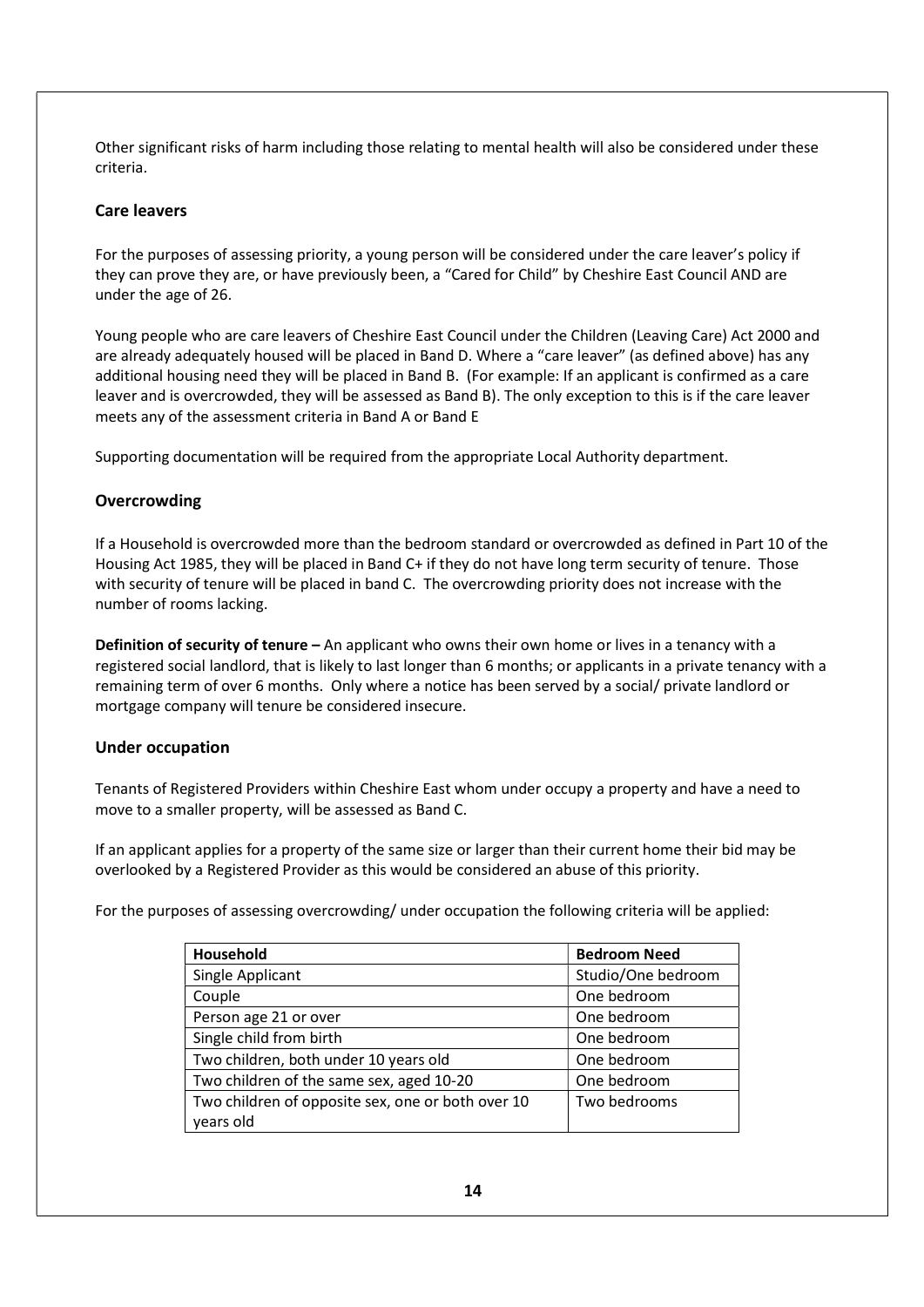Other significant risks of harm including those relating to mental health will also be considered under these criteria.

#### Care leavers

For the purposes of assessing priority, a young person will be considered under the care leaver's policy if they can prove they are, or have previously been, a "Cared for Child" by Cheshire East Council AND are under the age of 26.

Young people who are care leavers of Cheshire East Council under the Children (Leaving Care) Act 2000 and are already adequately housed will be placed in Band D. Where a "care leaver" (as defined above) has any additional housing need they will be placed in Band B. (For example: If an applicant is confirmed as a care leaver and is overcrowded, they will be assessed as Band B). The only exception to this is if the care leaver meets any of the assessment criteria in Band A or Band E

Supporting documentation will be required from the appropriate Local Authority department.

#### **Overcrowding**

If a Household is overcrowded more than the bedroom standard or overcrowded as defined in Part 10 of the Housing Act 1985, they will be placed in Band C+ if they do not have long term security of tenure. Those with security of tenure will be placed in band C. The overcrowding priority does not increase with the number of rooms lacking.

Definition of security of tenure – An applicant who owns their own home or lives in a tenancy with a registered social landlord, that is likely to last longer than 6 months; or applicants in a private tenancy with a remaining term of over 6 months. Only where a notice has been served by a social/ private landlord or mortgage company will tenure be considered insecure.

#### Under occupation

Tenants of Registered Providers within Cheshire East whom under occupy a property and have a need to move to a smaller property, will be assessed as Band C.

If an applicant applies for a property of the same size or larger than their current home their bid may be overlooked by a Registered Provider as this would be considered an abuse of this priority.

For the purposes of assessing overcrowding/ under occupation the following criteria will be applied:

| Household                                         | <b>Bedroom Need</b> |
|---------------------------------------------------|---------------------|
| Single Applicant                                  | Studio/One bedroom  |
| Couple                                            | One bedroom         |
| Person age 21 or over                             | One bedroom         |
| Single child from birth                           | One bedroom         |
| Two children, both under 10 years old             | One bedroom         |
| Two children of the same sex, aged 10-20          | One bedroom         |
| Two children of opposite sex, one or both over 10 | Two bedrooms        |
| years old                                         |                     |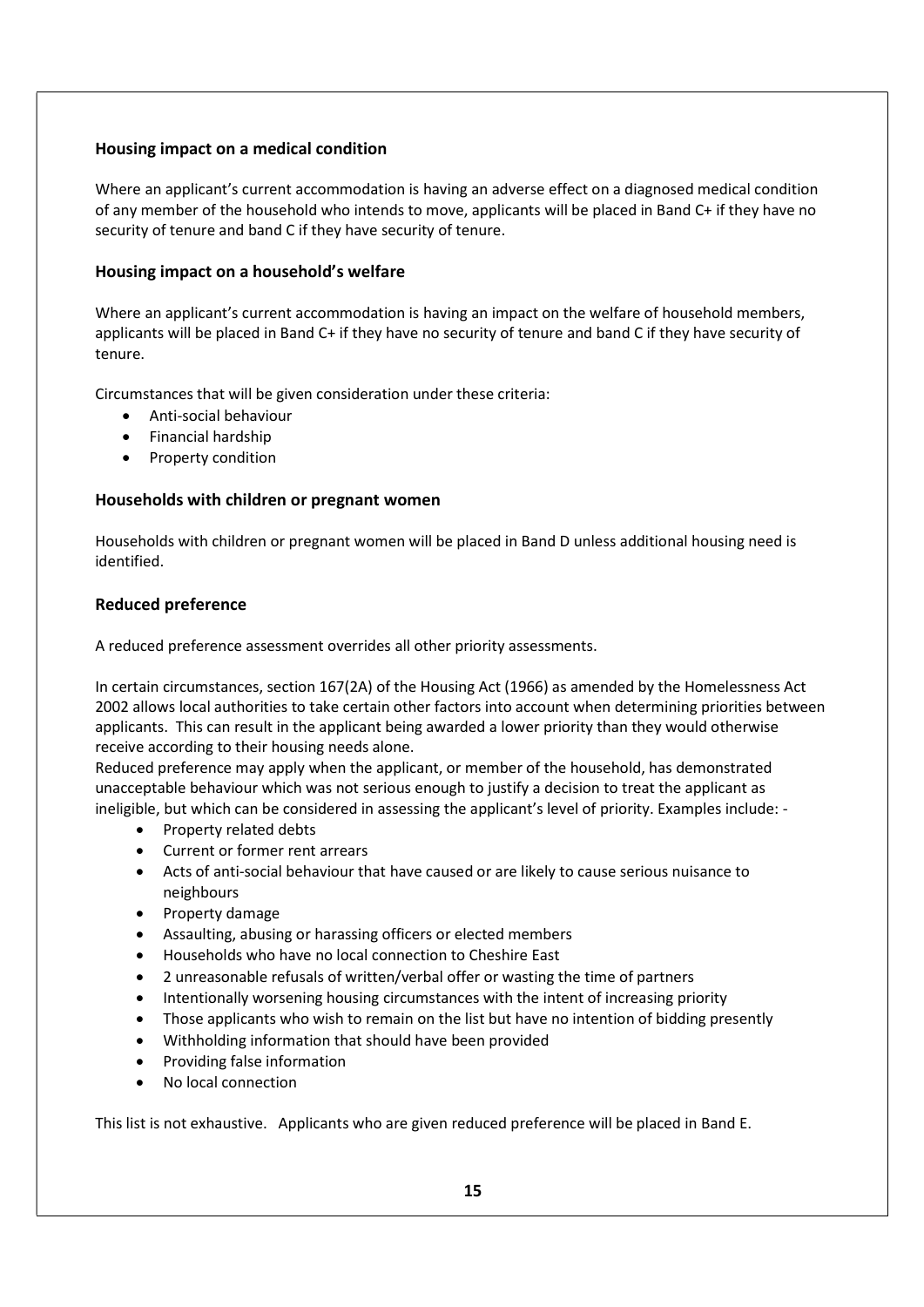#### Housing impact on a medical condition

Where an applicant's current accommodation is having an adverse effect on a diagnosed medical condition of any member of the household who intends to move, applicants will be placed in Band C+ if they have no security of tenure and band C if they have security of tenure.

#### Housing impact on a household's welfare

Where an applicant's current accommodation is having an impact on the welfare of household members, applicants will be placed in Band C+ if they have no security of tenure and band C if they have security of tenure.

Circumstances that will be given consideration under these criteria:

- Anti-social behaviour
- Financial hardship
- Property condition

#### Households with children or pregnant women

Households with children or pregnant women will be placed in Band D unless additional housing need is identified.

#### Reduced preference

A reduced preference assessment overrides all other priority assessments.

In certain circumstances, section 167(2A) of the Housing Act (1966) as amended by the Homelessness Act 2002 allows local authorities to take certain other factors into account when determining priorities between applicants. This can result in the applicant being awarded a lower priority than they would otherwise receive according to their housing needs alone.

Reduced preference may apply when the applicant, or member of the household, has demonstrated unacceptable behaviour which was not serious enough to justify a decision to treat the applicant as ineligible, but which can be considered in assessing the applicant's level of priority. Examples include: -

- Property related debts
- Current or former rent arrears
- Acts of anti-social behaviour that have caused or are likely to cause serious nuisance to neighbours
- Property damage
- Assaulting, abusing or harassing officers or elected members
- Households who have no local connection to Cheshire East
- 2 unreasonable refusals of written/verbal offer or wasting the time of partners
- Intentionally worsening housing circumstances with the intent of increasing priority
- Those applicants who wish to remain on the list but have no intention of bidding presently
- Withholding information that should have been provided
- Providing false information
- No local connection

This list is not exhaustive. Applicants who are given reduced preference will be placed in Band E.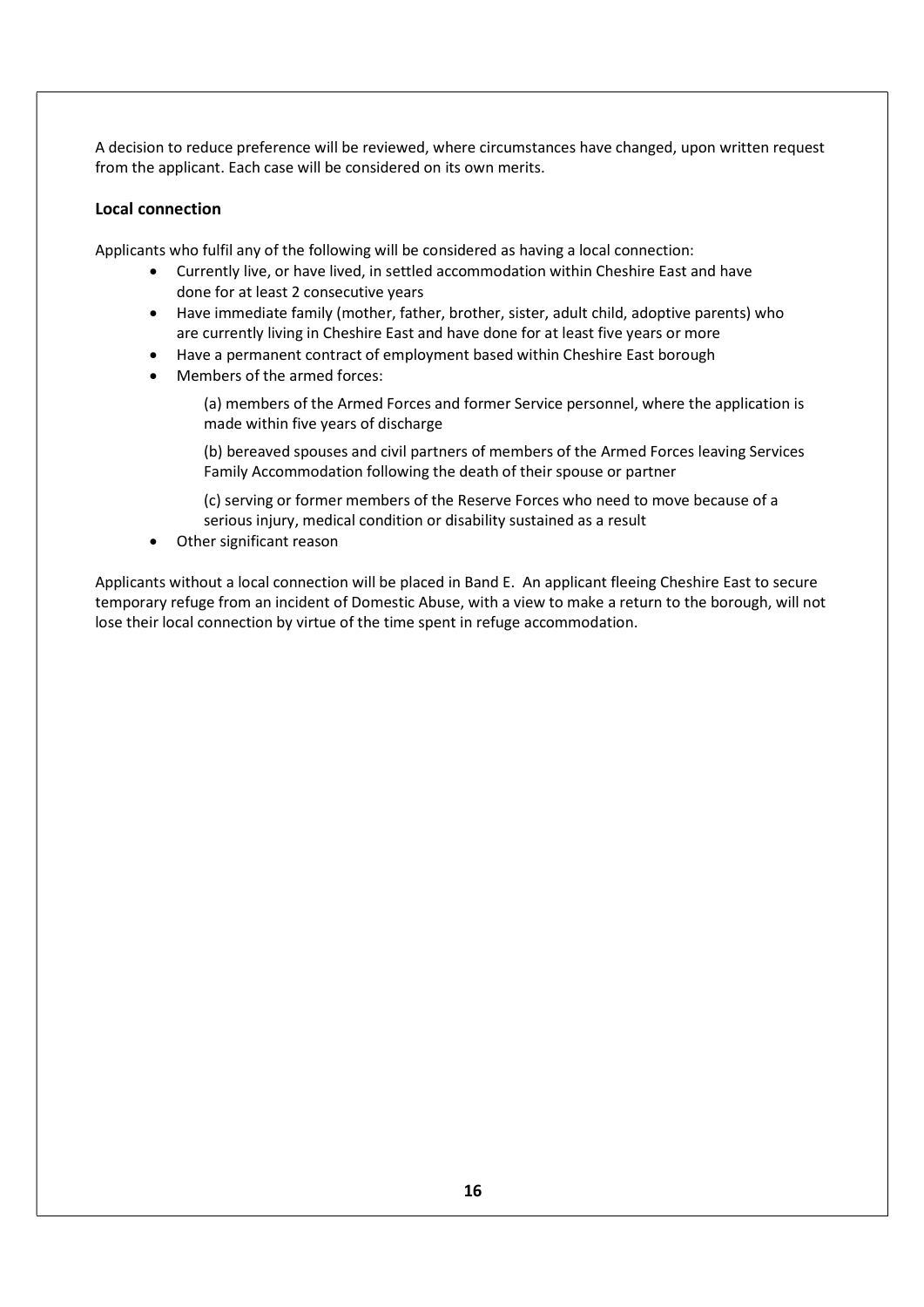A decision to reduce preference will be reviewed, where circumstances have changed, upon written request from the applicant. Each case will be considered on its own merits.

#### Local connection

Applicants who fulfil any of the following will be considered as having a local connection:

- Currently live, or have lived, in settled accommodation within Cheshire East and have done for at least 2 consecutive years
- Have immediate family (mother, father, brother, sister, adult child, adoptive parents) who are currently living in Cheshire East and have done for at least five years or more
- Have a permanent contract of employment based within Cheshire East borough
- Members of the armed forces:

(a) members of the Armed Forces and former Service personnel, where the application is made within five years of discharge

(b) bereaved spouses and civil partners of members of the Armed Forces leaving Services Family Accommodation following the death of their spouse or partner

(c) serving or former members of the Reserve Forces who need to move because of a serious injury, medical condition or disability sustained as a result

Other significant reason

Applicants without a local connection will be placed in Band E. An applicant fleeing Cheshire East to secure temporary refuge from an incident of Domestic Abuse, with a view to make a return to the borough, will not lose their local connection by virtue of the time spent in refuge accommodation.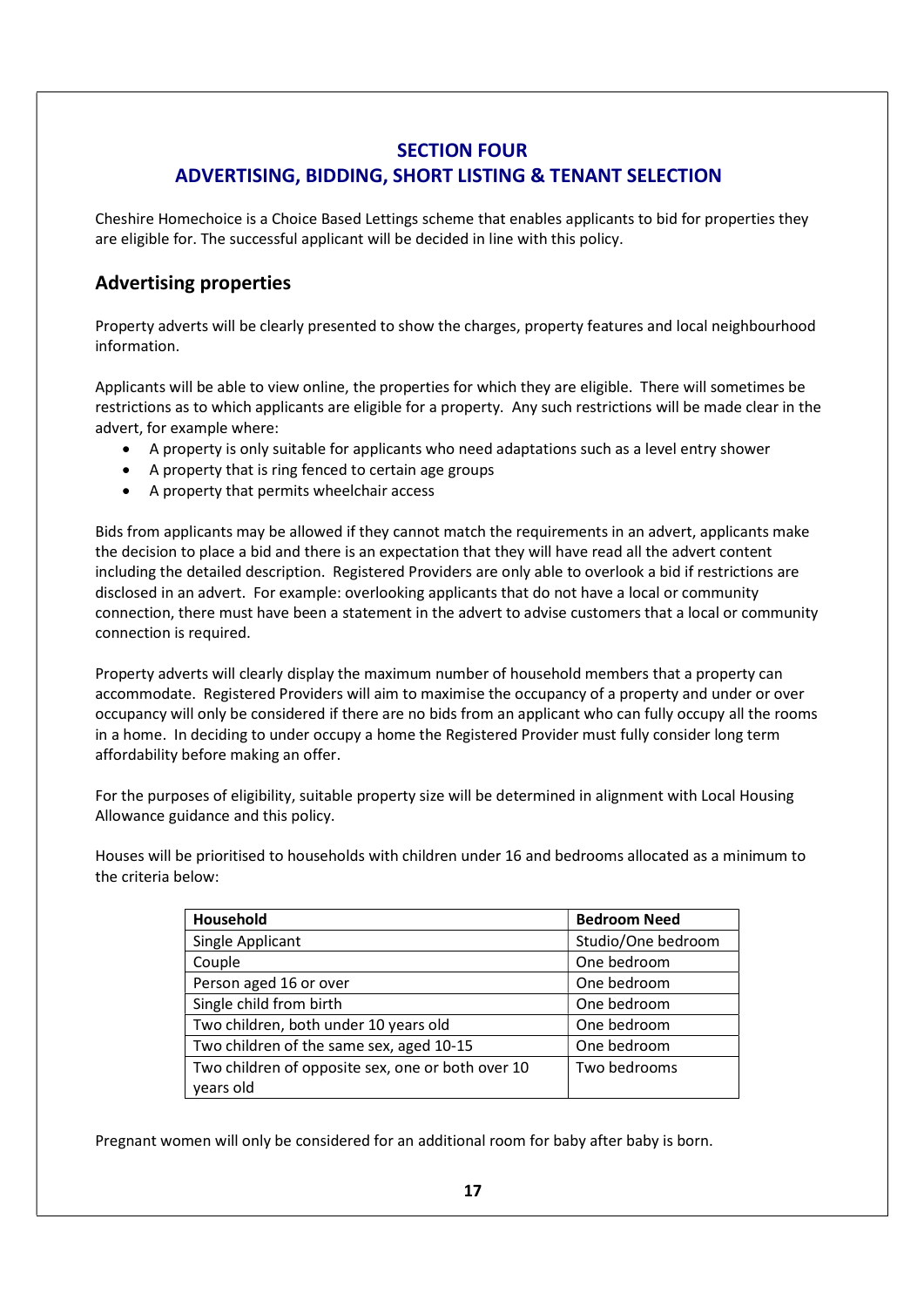## SECTION FOUR ADVERTISING, BIDDING, SHORT LISTING & TENANT SELECTION

Cheshire Homechoice is a Choice Based Lettings scheme that enables applicants to bid for properties they are eligible for. The successful applicant will be decided in line with this policy.

# Advertising properties

Property adverts will be clearly presented to show the charges, property features and local neighbourhood information.

Applicants will be able to view online, the properties for which they are eligible. There will sometimes be restrictions as to which applicants are eligible for a property. Any such restrictions will be made clear in the advert, for example where:

- A property is only suitable for applicants who need adaptations such as a level entry shower
- A property that is ring fenced to certain age groups
- A property that permits wheelchair access

Bids from applicants may be allowed if they cannot match the requirements in an advert, applicants make the decision to place a bid and there is an expectation that they will have read all the advert content including the detailed description. Registered Providers are only able to overlook a bid if restrictions are disclosed in an advert. For example: overlooking applicants that do not have a local or community connection, there must have been a statement in the advert to advise customers that a local or community connection is required.

Property adverts will clearly display the maximum number of household members that a property can accommodate. Registered Providers will aim to maximise the occupancy of a property and under or over occupancy will only be considered if there are no bids from an applicant who can fully occupy all the rooms in a home. In deciding to under occupy a home the Registered Provider must fully consider long term affordability before making an offer.

For the purposes of eligibility, suitable property size will be determined in alignment with Local Housing Allowance guidance and this policy.

Houses will be prioritised to households with children under 16 and bedrooms allocated as a minimum to the criteria below:

| Household                                         | <b>Bedroom Need</b> |
|---------------------------------------------------|---------------------|
| Single Applicant                                  | Studio/One bedroom  |
| Couple                                            | One bedroom         |
| Person aged 16 or over                            | One bedroom         |
| Single child from birth                           | One bedroom         |
| Two children, both under 10 years old             | One bedroom         |
| Two children of the same sex, aged 10-15          | One bedroom         |
| Two children of opposite sex, one or both over 10 | Two bedrooms        |
| years old                                         |                     |

Pregnant women will only be considered for an additional room for baby after baby is born.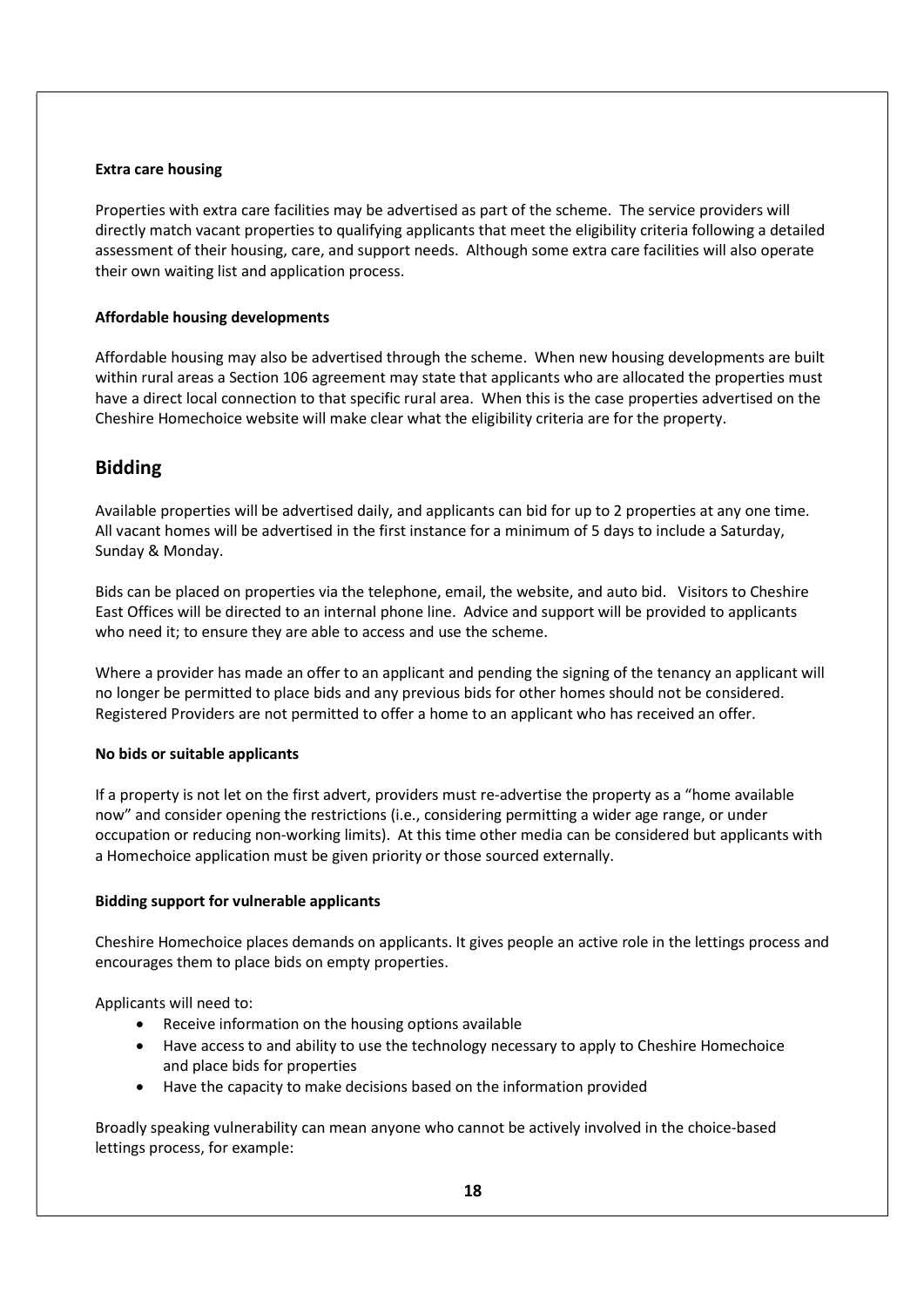#### Extra care housing

Properties with extra care facilities may be advertised as part of the scheme. The service providers will directly match vacant properties to qualifying applicants that meet the eligibility criteria following a detailed assessment of their housing, care, and support needs. Although some extra care facilities will also operate their own waiting list and application process.

#### Affordable housing developments

Affordable housing may also be advertised through the scheme. When new housing developments are built within rural areas a Section 106 agreement may state that applicants who are allocated the properties must have a direct local connection to that specific rural area. When this is the case properties advertised on the Cheshire Homechoice website will make clear what the eligibility criteria are for the property.

## Bidding

Available properties will be advertised daily, and applicants can bid for up to 2 properties at any one time. All vacant homes will be advertised in the first instance for a minimum of 5 days to include a Saturday, Sunday & Monday.

Bids can be placed on properties via the telephone, email, the website, and auto bid. Visitors to Cheshire East Offices will be directed to an internal phone line. Advice and support will be provided to applicants who need it; to ensure they are able to access and use the scheme.

Where a provider has made an offer to an applicant and pending the signing of the tenancy an applicant will no longer be permitted to place bids and any previous bids for other homes should not be considered. Registered Providers are not permitted to offer a home to an applicant who has received an offer.

#### No bids or suitable applicants

If a property is not let on the first advert, providers must re-advertise the property as a "home available now" and consider opening the restrictions (i.e., considering permitting a wider age range, or under occupation or reducing non-working limits). At this time other media can be considered but applicants with a Homechoice application must be given priority or those sourced externally.

#### Bidding support for vulnerable applicants

Cheshire Homechoice places demands on applicants. It gives people an active role in the lettings process and encourages them to place bids on empty properties.

Applicants will need to:

- Receive information on the housing options available
- Have access to and ability to use the technology necessary to apply to Cheshire Homechoice and place bids for properties
- Have the capacity to make decisions based on the information provided

Broadly speaking vulnerability can mean anyone who cannot be actively involved in the choice-based lettings process, for example: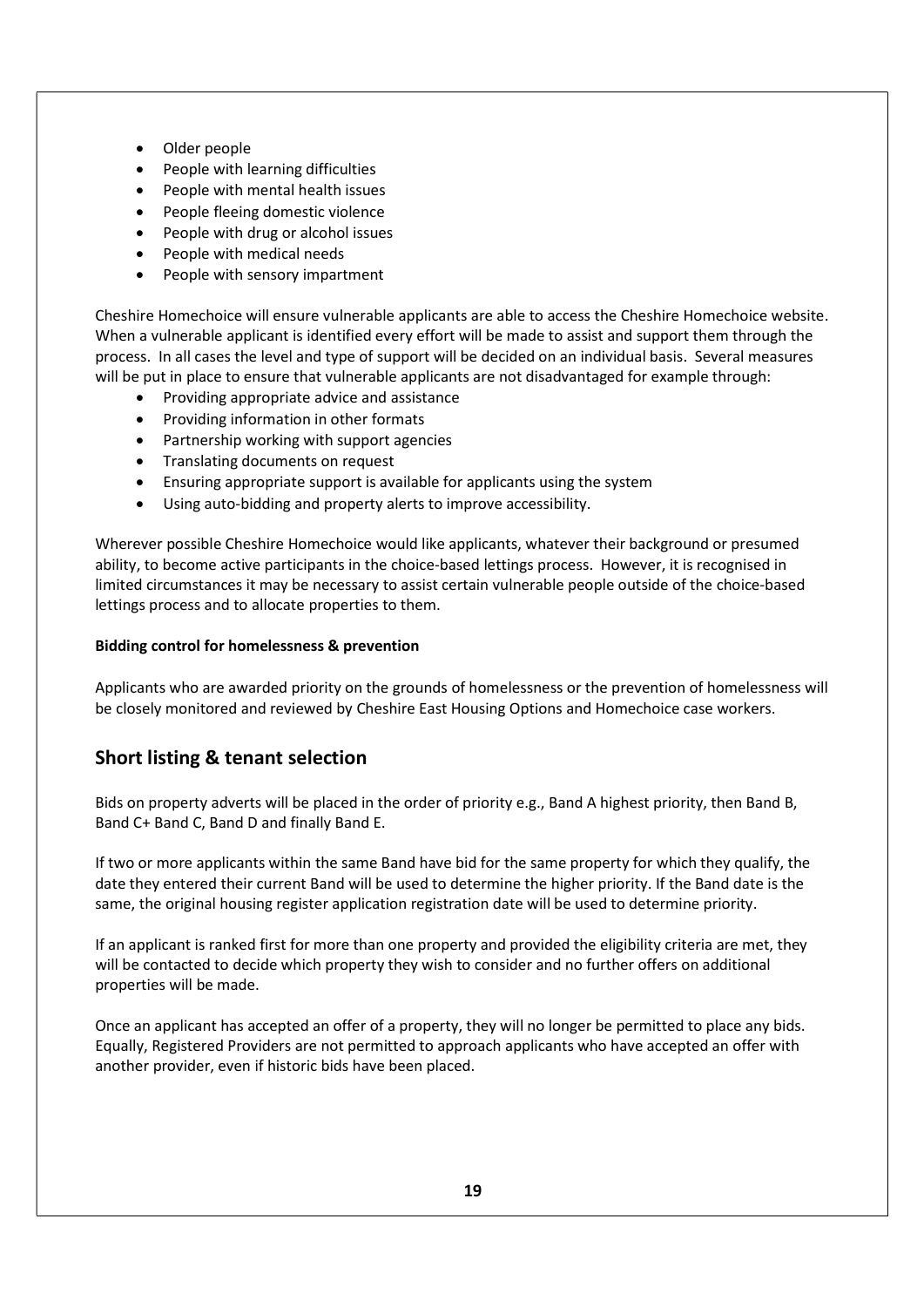- Older people
- People with learning difficulties
- People with mental health issues
- People fleeing domestic violence
- People with drug or alcohol issues
- People with medical needs
- People with sensory impartment

Cheshire Homechoice will ensure vulnerable applicants are able to access the Cheshire Homechoice website. When a vulnerable applicant is identified every effort will be made to assist and support them through the process. In all cases the level and type of support will be decided on an individual basis. Several measures will be put in place to ensure that vulnerable applicants are not disadvantaged for example through:

- Providing appropriate advice and assistance
- Providing information in other formats
- Partnership working with support agencies
- Translating documents on request
- Ensuring appropriate support is available for applicants using the system
- Using auto-bidding and property alerts to improve accessibility.

Wherever possible Cheshire Homechoice would like applicants, whatever their background or presumed ability, to become active participants in the choice-based lettings process. However, it is recognised in limited circumstances it may be necessary to assist certain vulnerable people outside of the choice-based lettings process and to allocate properties to them.

#### Bidding control for homelessness & prevention

Applicants who are awarded priority on the grounds of homelessness or the prevention of homelessness will be closely monitored and reviewed by Cheshire East Housing Options and Homechoice case workers.

# Short listing & tenant selection

Bids on property adverts will be placed in the order of priority e.g., Band A highest priority, then Band B, Band C+ Band C, Band D and finally Band E.

If two or more applicants within the same Band have bid for the same property for which they qualify, the date they entered their current Band will be used to determine the higher priority. If the Band date is the same, the original housing register application registration date will be used to determine priority.

If an applicant is ranked first for more than one property and provided the eligibility criteria are met, they will be contacted to decide which property they wish to consider and no further offers on additional properties will be made.

Once an applicant has accepted an offer of a property, they will no longer be permitted to place any bids. Equally, Registered Providers are not permitted to approach applicants who have accepted an offer with another provider, even if historic bids have been placed.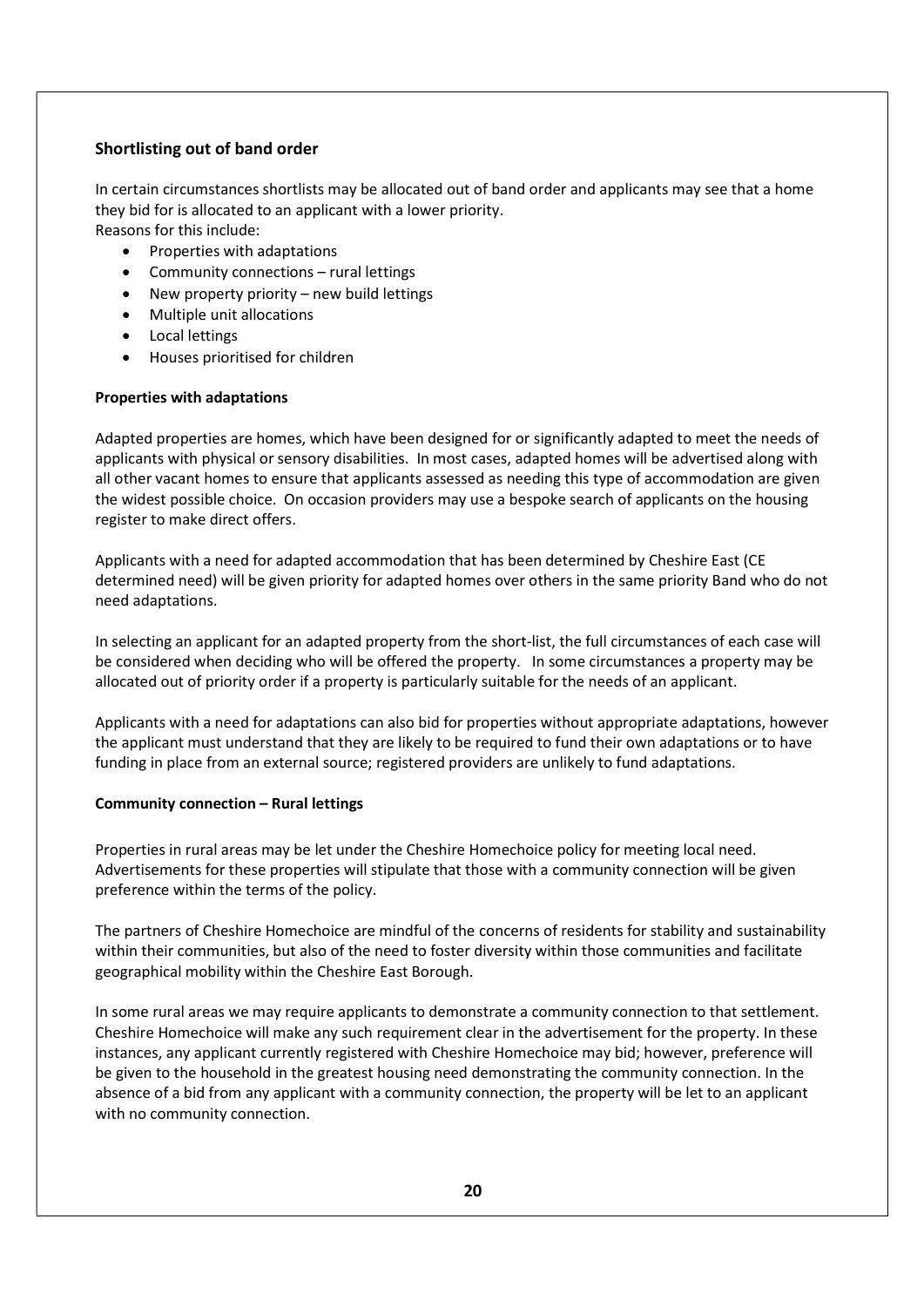#### Shortlisting out of band order

In certain circumstances shortlists may be allocated out of band order and applicants may see that a home they bid for is allocated to an applicant with a lower priority. Reasons for this include:

- Properties with adaptations
- Community connections rural lettings
- New property priority new build lettings
- Multiple unit allocations
- **•** Local lettings
- Houses prioritised for children

#### Properties with adaptations

Adapted properties are homes, which have been designed for or significantly adapted to meet the needs of applicants with physical or sensory disabilities. In most cases, adapted homes will be advertised along with all other vacant homes to ensure that applicants assessed as needing this type of accommodation are given the widest possible choice. On occasion providers may use a bespoke search of applicants on the housing register to make direct offers.

Applicants with a need for adapted accommodation that has been determined by Cheshire East (CE determined need) will be given priority for adapted homes over others in the same priority Band who do not need adaptations.

In selecting an applicant for an adapted property from the short-list, the full circumstances of each case will be considered when deciding who will be offered the property. In some circumstances a property may be allocated out of priority order if a property is particularly suitable for the needs of an applicant.

Applicants with a need for adaptations can also bid for properties without appropriate adaptations, however the applicant must understand that they are likely to be required to fund their own adaptations or to have funding in place from an external source; registered providers are unlikely to fund adaptations.

#### Community connection – Rural lettings

Properties in rural areas may be let under the Cheshire Homechoice policy for meeting local need. Advertisements for these properties will stipulate that those with a community connection will be given preference within the terms of the policy.

The partners of Cheshire Homechoice are mindful of the concerns of residents for stability and sustainability within their communities, but also of the need to foster diversity within those communities and facilitate geographical mobility within the Cheshire East Borough.

In some rural areas we may require applicants to demonstrate a community connection to that settlement. Cheshire Homechoice will make any such requirement clear in the advertisement for the property. In these instances, any applicant currently registered with Cheshire Homechoice may bid; however, preference will be given to the household in the greatest housing need demonstrating the community connection. In the absence of a bid from any applicant with a community connection, the property will be let to an applicant with no community connection.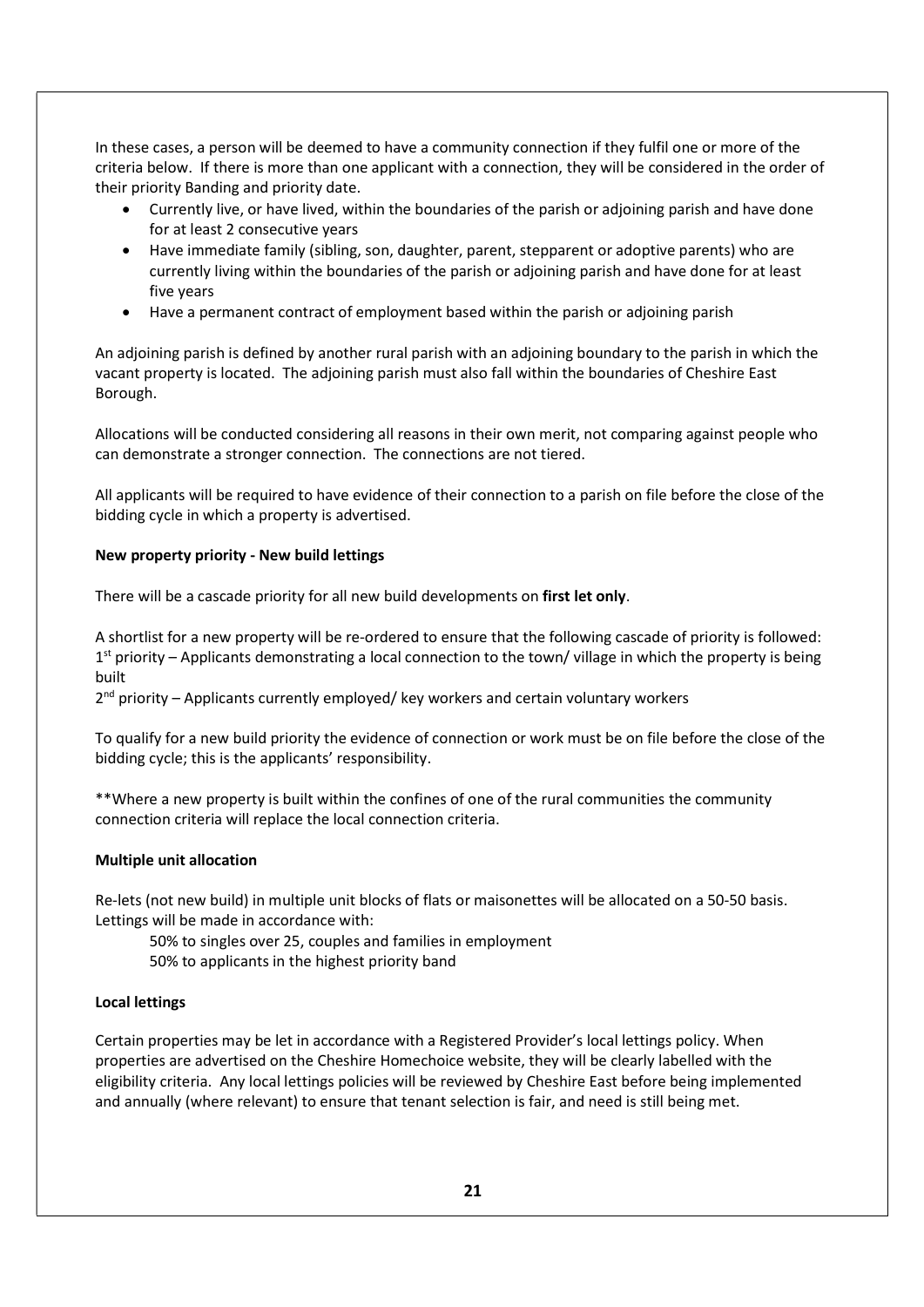In these cases, a person will be deemed to have a community connection if they fulfil one or more of the criteria below. If there is more than one applicant with a connection, they will be considered in the order of their priority Banding and priority date.

- Currently live, or have lived, within the boundaries of the parish or adjoining parish and have done for at least 2 consecutive years
- Have immediate family (sibling, son, daughter, parent, stepparent or adoptive parents) who are currently living within the boundaries of the parish or adjoining parish and have done for at least five years
- Have a permanent contract of employment based within the parish or adjoining parish

An adjoining parish is defined by another rural parish with an adjoining boundary to the parish in which the vacant property is located. The adjoining parish must also fall within the boundaries of Cheshire East Borough.

Allocations will be conducted considering all reasons in their own merit, not comparing against people who can demonstrate a stronger connection. The connections are not tiered.

All applicants will be required to have evidence of their connection to a parish on file before the close of the bidding cycle in which a property is advertised.

#### New property priority - New build lettings

There will be a cascade priority for all new build developments on first let only.

A shortlist for a new property will be re-ordered to ensure that the following cascade of priority is followed: 1<sup>st</sup> priority – Applicants demonstrating a local connection to the town/ village in which the property is being built

2<sup>nd</sup> priority – Applicants currently employed/ key workers and certain voluntary workers

To qualify for a new build priority the evidence of connection or work must be on file before the close of the bidding cycle; this is the applicants' responsibility.

\*\*Where a new property is built within the confines of one of the rural communities the community connection criteria will replace the local connection criteria.

#### Multiple unit allocation

Re-lets (not new build) in multiple unit blocks of flats or maisonettes will be allocated on a 50-50 basis. Lettings will be made in accordance with:

50% to singles over 25, couples and families in employment

50% to applicants in the highest priority band

#### Local lettings

Certain properties may be let in accordance with a Registered Provider's local lettings policy. When properties are advertised on the Cheshire Homechoice website, they will be clearly labelled with the eligibility criteria. Any local lettings policies will be reviewed by Cheshire East before being implemented and annually (where relevant) to ensure that tenant selection is fair, and need is still being met.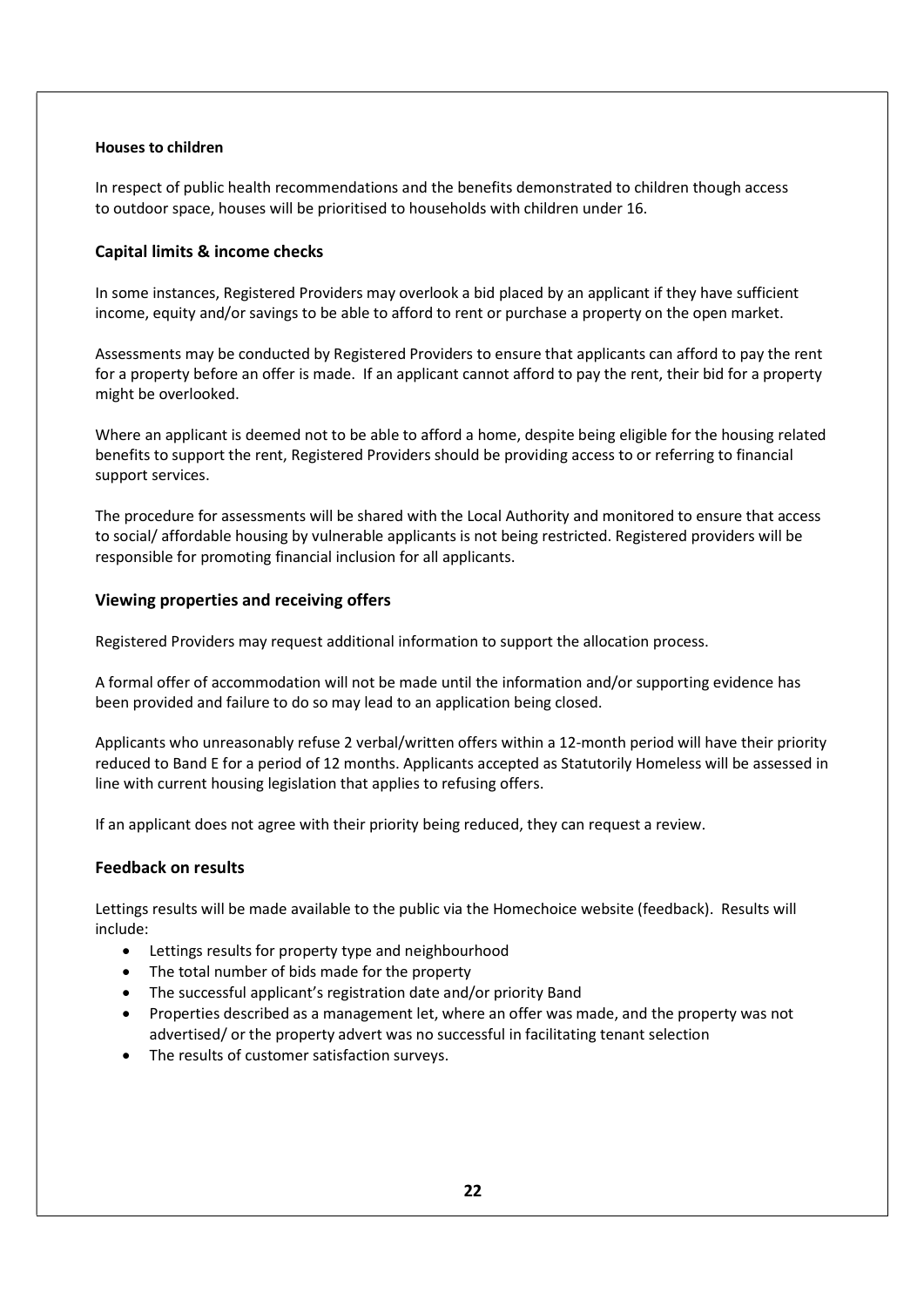#### Houses to children

In respect of public health recommendations and the benefits demonstrated to children though access to outdoor space, houses will be prioritised to households with children under 16.

#### Capital limits & income checks

In some instances, Registered Providers may overlook a bid placed by an applicant if they have sufficient income, equity and/or savings to be able to afford to rent or purchase a property on the open market.

Assessments may be conducted by Registered Providers to ensure that applicants can afford to pay the rent for a property before an offer is made. If an applicant cannot afford to pay the rent, their bid for a property might be overlooked.

Where an applicant is deemed not to be able to afford a home, despite being eligible for the housing related benefits to support the rent, Registered Providers should be providing access to or referring to financial support services.

The procedure for assessments will be shared with the Local Authority and monitored to ensure that access to social/ affordable housing by vulnerable applicants is not being restricted. Registered providers will be responsible for promoting financial inclusion for all applicants.

#### Viewing properties and receiving offers

Registered Providers may request additional information to support the allocation process.

A formal offer of accommodation will not be made until the information and/or supporting evidence has been provided and failure to do so may lead to an application being closed.

Applicants who unreasonably refuse 2 verbal/written offers within a 12-month period will have their priority reduced to Band E for a period of 12 months. Applicants accepted as Statutorily Homeless will be assessed in line with current housing legislation that applies to refusing offers.

If an applicant does not agree with their priority being reduced, they can request a review.

#### Feedback on results

Lettings results will be made available to the public via the Homechoice website (feedback). Results will include:

- Lettings results for property type and neighbourhood
- The total number of bids made for the property
- The successful applicant's registration date and/or priority Band
- Properties described as a management let, where an offer was made, and the property was not advertised/ or the property advert was no successful in facilitating tenant selection
- The results of customer satisfaction surveys.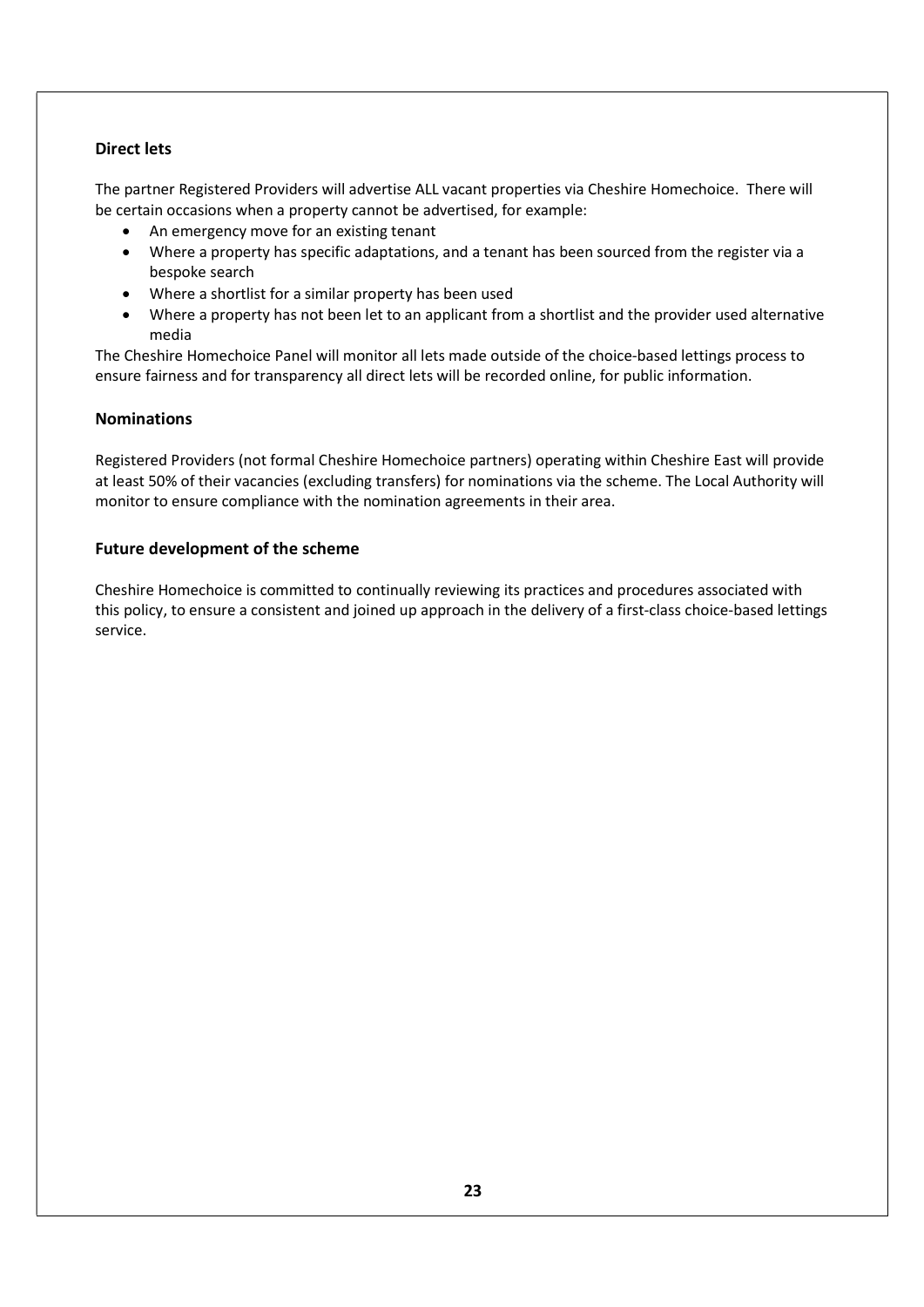### Direct lets

The partner Registered Providers will advertise ALL vacant properties via Cheshire Homechoice. There will be certain occasions when a property cannot be advertised, for example:

- An emergency move for an existing tenant
- Where a property has specific adaptations, and a tenant has been sourced from the register via a bespoke search
- Where a shortlist for a similar property has been used
- Where a property has not been let to an applicant from a shortlist and the provider used alternative media

The Cheshire Homechoice Panel will monitor all lets made outside of the choice-based lettings process to ensure fairness and for transparency all direct lets will be recorded online, for public information.

#### **Nominations**

Registered Providers (not formal Cheshire Homechoice partners) operating within Cheshire East will provide at least 50% of their vacancies (excluding transfers) for nominations via the scheme. The Local Authority will monitor to ensure compliance with the nomination agreements in their area.

#### Future development of the scheme

Cheshire Homechoice is committed to continually reviewing its practices and procedures associated with this policy, to ensure a consistent and joined up approach in the delivery of a first-class choice-based lettings service.